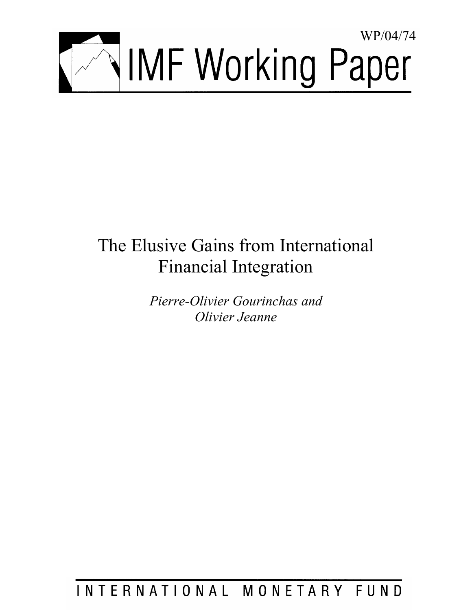

# The Elusive Gains from International Financial Integration

*Pierre-Olivier Gourinchas and Olivier Jeanne* 

INTERNATIONAL MONETARY FUND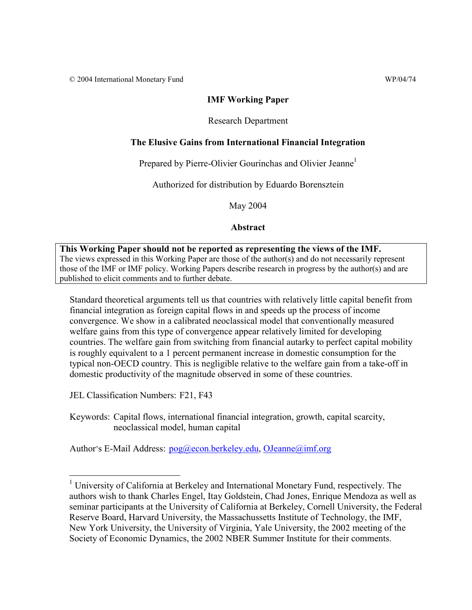© 2004 International Monetary Fund WP/04/74

## **IMF Working Paper**

## Research Department

## **The Elusive Gains from International Financial Integration**

Prepared by Pierre-Olivier Gourinchas and Olivier Jeanne<sup>1</sup>

Authorized for distribution by Eduardo Borensztein

May 2004

**Abstract**

**This Working Paper should not be reported as representing the views of the IMF.** The views expressed in this Working Paper are those of the author(s) and do not necessarily represent those of the IMF or IMF policy. Working Papers describe research in progress by the author(s) and are published to elicit comments and to further debate.

Standard theoretical arguments tell us that countries with relatively little capital benefit from financial integration as foreign capital flows in and speeds up the process of income convergence. We show in a calibrated neoclassical model that conventionally measured welfare gains from this type of convergence appear relatively limited for developing countries. The welfare gain from switching from financial autarky to perfect capital mobility is roughly equivalent to a 1 percent permanent increase in domestic consumption for the typical non-OECD country. This is negligible relative to the welfare gain from a take-off in domestic productivity of the magnitude observed in some of these countries.

JEL Classification Numbers: F21, F43

 $\overline{a}$ 

Keywords: Capital flows, international financial integration, growth, capital scarcity, neoclassical model, human capital

Author's E-Mail Address: pog@econ.berkeley.edu, OJeanne@imf.org

<sup>&</sup>lt;sup>1</sup> University of California at Berkeley and International Monetary Fund, respectively. The authors wish to thank Charles Engel, Itay Goldstein, Chad Jones, Enrique Mendoza as well as seminar participants at the University of California at Berkeley, Cornell University, the Federal Reserve Board, Harvard University, the Massachussetts Institute of Technology, the IMF, New York University, the University of Virginia, Yale University, the 2002 meeting of the Society of Economic Dynamics, the 2002 NBER Summer Institute for their comments.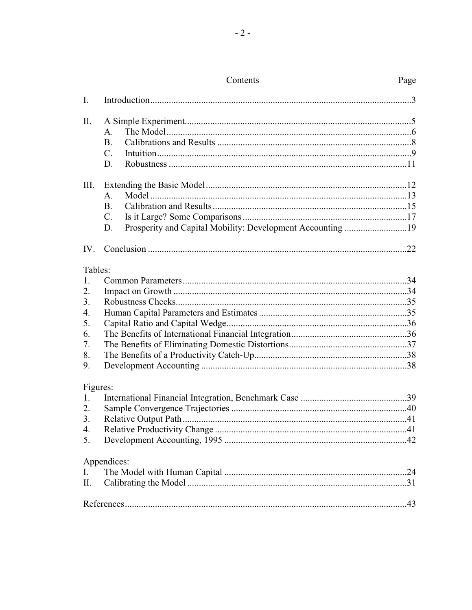| I.          |                 |  |
|-------------|-----------------|--|
| II.         |                 |  |
|             | A.              |  |
|             | <b>B.</b>       |  |
|             | $\mathcal{C}$ . |  |
|             | D.              |  |
| III.        |                 |  |
|             | A.              |  |
|             | B.              |  |
|             | $C_{\cdot}$     |  |
|             | D.              |  |
|             |                 |  |
| Tables:     |                 |  |
| $1_{\cdot}$ |                 |  |
| 2.          |                 |  |
| 3.          |                 |  |
| 4.          |                 |  |
| 5.          |                 |  |
| 6.          |                 |  |
| 7.          |                 |  |
| 8.          |                 |  |
| 9.          |                 |  |
|             | Figures:        |  |
| 1.          |                 |  |
| 2.          |                 |  |
| 3.          |                 |  |
| 4.          |                 |  |
| 5.          |                 |  |
|             | Appendices:     |  |
| I.          |                 |  |
| П.          |                 |  |
|             |                 |  |
|             |                 |  |

# Contents

# Page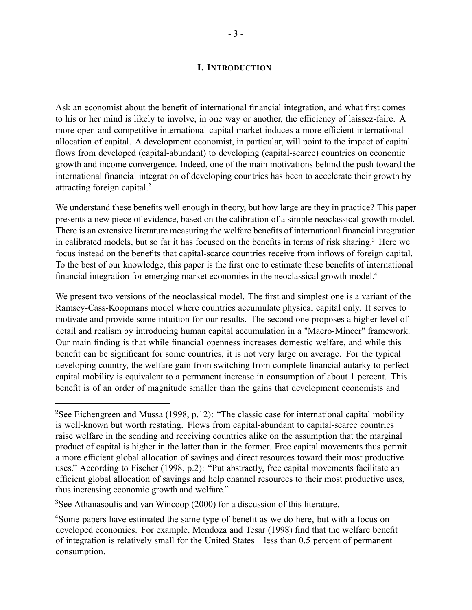## **I. INTRODUCTION**

Ask an economist about the benefit of international financial integration, and what first comes to his or her mind is likely to involve, in one way or another, the efficiency of laissez-faire. A more open and competitive international capital market induces a more efficient international allocation of capital. A development economist, in particular, will point to the impact of capital flows from developed (capital-abundant) to developing (capital-scarce) countries on economic growth and income convergence. Indeed, one of the main motivations behind the push toward the international financial integration of developing countries has been to accelerate their growth by attracting foreign capital.2

We understand these benefits well enough in theory, but how large are they in practice? This paper presents a new piece of evidence, based on the calibration of a simple neoclassical growth model. There is an extensive literature measuring the welfare benefits of international financial integration in calibrated models, but so far it has focused on the benefits in terms of risk sharing.<sup>3</sup> Here we focus instead on the benefits that capital-scarce countries receive from inflows of foreign capital. To the best of our knowledge, this paper is the first one to estimate these benefits of international financial integration for emerging market economies in the neoclassical growth model.4

We present two versions of the neoclassical model. The first and simplest one is a variant of the Ramsey-Cass-Koopmans model where countries accumulate physical capital only. It serves to motivate and provide some intuition for our results. The second one proposes a higher level of detail and realism by introducing human capital accumulation in a "Macro-Mincer" framework. Our main finding is that while financial openness increases domestic welfare, and while this benefit can be significant for some countries, it is not very large on average. For the typical developing country, the welfare gain from switching from complete financial autarky to perfect capital mobility is equivalent to a permanent increase in consumption of about 1 percent. This benefit is of an order of magnitude smaller than the gains that development economists and

<sup>&</sup>lt;sup>2</sup>See Eichengreen and Mussa (1998, p.12): "The classic case for international capital mobility is well-known but worth restating. Flows from capital-abundant to capital-scarce countries raise welfare in the sending and receiving countries alike on the assumption that the marginal product of capital is higher in the latter than in the former. Free capital movements thus permit a more efficient global allocation of savings and direct resources toward their most productive uses." According to Fischer (1998, p.2): "Put abstractly, free capital movements facilitate an efficient global allocation of savings and help channel resources to their most productive uses, thus increasing economic growth and welfare."

<sup>&</sup>lt;sup>3</sup>See Athanasoulis and van Wincoop (2000) for a discussion of this literature.

<sup>&</sup>lt;sup>4</sup>Some papers have estimated the same type of benefit as we do here, but with a focus on developed economies. For example, Mendoza and Tesar (1998) find that the welfare benefit of integration is relatively small for the United States—less than 0.5 percent of permanent consumption.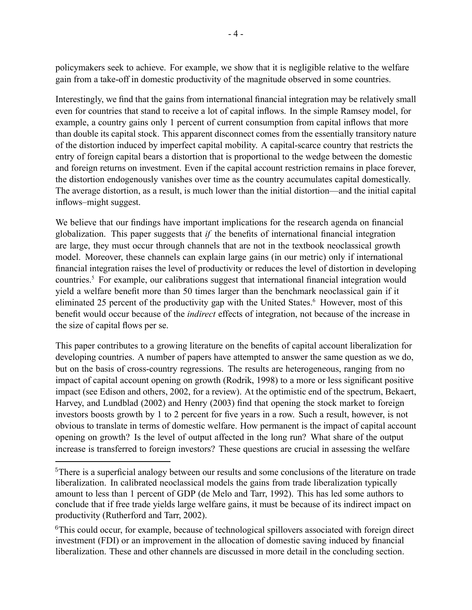policymakers seek to achieve. For example, we show that it is negligible relative to the welfare gain from a take-off in domestic productivity of the magnitude observed in some countries.

Interestingly, we find that the gains from international financial integration may be relatively small even for countries that stand to receive a lot of capital inflows. In the simple Ramsey model, for example, a country gains only 1 percent of current consumption from capital inflows that more than double its capital stock. This apparent disconnect comes from the essentially transitory nature of the distortion induced by imperfect capital mobility. A capital-scarce country that restricts the entry of foreign capital bears a distortion that is proportional to the wedge between the domestic and foreign returns on investment. Even if the capital account restriction remains in place forever, the distortion endogenously vanishes over time as the country accumulates capital domestically. The average distortion, as a result, is much lower than the initial distortion—and the initial capital inflows–might suggest.

We believe that our findings have important implications for the research agenda on financial globalization. This paper suggests that *if* the benefits of international financial integration are large, they must occur through channels that are not in the textbook neoclassical growth model. Moreover, these channels can explain large gains (in our metric) only if international financial integration raises the level of productivity or reduces the level of distortion in developing countries.5 For example, our calibrations suggest that international financial integration would yield a welfare benefit more than 50 times larger than the benchmark neoclassical gain if it eliminated 25 percent of the productivity gap with the United States.<sup>6</sup> However, most of this benefit would occur because of the *indirect* effects of integration, not because of the increase in the size of capital flows per se.

This paper contributes to a growing literature on the benefits of capital account liberalization for developing countries. A number of papers have attempted to answer the same question as we do, but on the basis of cross-country regressions. The results are heterogeneous, ranging from no impact of capital account opening on growth (Rodrik, 1998) to a more or less significant positive impact (see Edison and others, 2002, for a review). At the optimistic end of the spectrum, Bekaert, Harvey, and Lundblad (2002) and Henry (2003) find that opening the stock market to foreign investors boosts growth by 1 to 2 percent for five years in a row. Such a result, however, is not obvious to translate in terms of domestic welfare. How permanent is the impact of capital account opening on growth? Is the level of output affected in the long run? What share of the output increase is transferred to foreign investors? These questions are crucial in assessing the welfare

<sup>&</sup>lt;sup>5</sup>There is a superficial analogy between our results and some conclusions of the literature on trade liberalization. In calibrated neoclassical models the gains from trade liberalization typically amount to less than 1 percent of GDP (de Melo and Tarr, 1992). This has led some authors to conclude that if free trade yields large welfare gains, it must be because of its indirect impact on productivity (Rutherford and Tarr, 2002).

<sup>&</sup>lt;sup>6</sup>This could occur, for example, because of technological spillovers associated with foreign direct investment (FDI) or an improvement in the allocation of domestic saving induced by financial liberalization. These and other channels are discussed in more detail in the concluding section.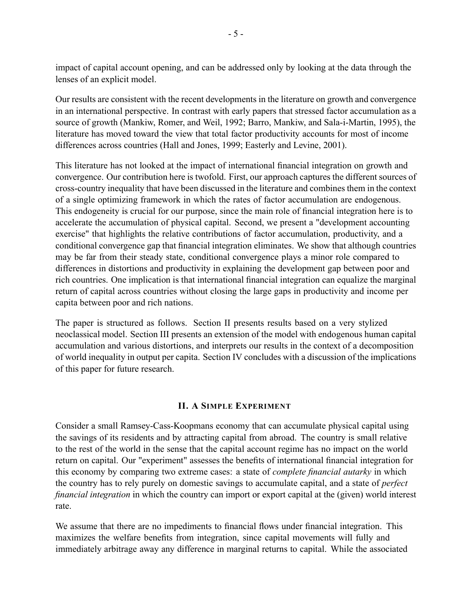impact of capital account opening, and can be addressed only by looking at the data through the lenses of an explicit model.

Our results are consistent with the recent developments in the literature on growth and convergence in an international perspective. In contrast with early papers that stressed factor accumulation as a source of growth (Mankiw, Romer, and Weil, 1992; Barro, Mankiw, and Sala-i-Martin, 1995), the literature has moved toward the view that total factor productivity accounts for most of income differences across countries (Hall and Jones, 1999; Easterly and Levine, 2001).

This literature has not looked at the impact of international financial integration on growth and convergence. Our contribution here is twofold. First, our approach captures the different sources of cross-country inequality that have been discussed in the literature and combines them in the context of a single optimizing framework in which the rates of factor accumulation are endogenous. This endogeneity is crucial for our purpose, since the main role of financial integration here is to accelerate the accumulation of physical capital. Second, we present a "development accounting exercise" that highlights the relative contributions of factor accumulation, productivity, and a conditional convergence gap that financial integration eliminates. We show that although countries may be far from their steady state, conditional convergence plays a minor role compared to differences in distortions and productivity in explaining the development gap between poor and rich countries. One implication is that international financial integration can equalize the marginal return of capital across countries without closing the large gaps in productivity and income per capita between poor and rich nations.

The paper is structured as follows. Section II presents results based on a very stylized neoclassical model. Section III presents an extension of the model with endogenous human capital accumulation and various distortions, and interprets our results in the context of a decomposition of world inequality in output per capita. Section IV concludes with a discussion of the implications of this paper for future research.

## **II. A SIMPLE EXPERIMENT**

Consider a small Ramsey-Cass-Koopmans economy that can accumulate physical capital using the savings of its residents and by attracting capital from abroad. The country is small relative to the rest of the world in the sense that the capital account regime has no impact on the world return on capital. Our "experiment" assesses the benefits of international financial integration for this economy by comparing two extreme cases: a state of *complete financial autarky* in which the country has to rely purely on domestic savings to accumulate capital, and a state of *perfect financial integration* in which the country can import or export capital at the (given) world interest rate.

We assume that there are no impediments to financial flows under financial integration. This maximizes the welfare benefits from integration, since capital movements will fully and immediately arbitrage away any difference in marginal returns to capital. While the associated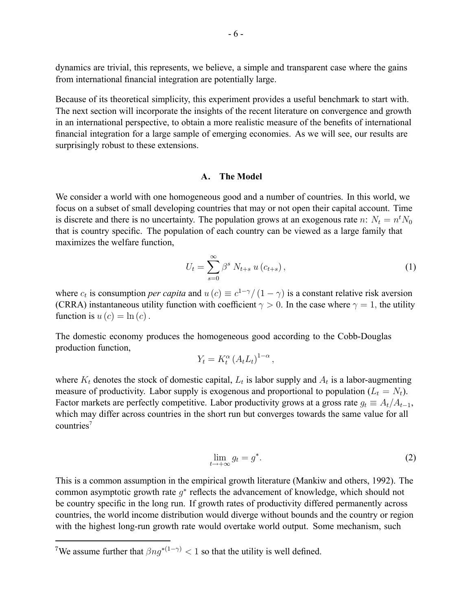dynamics are trivial, this represents, we believe, a simple and transparent case where the gains from international financial integration are potentially large.

Because of its theoretical simplicity, this experiment provides a useful benchmark to start with. The next section will incorporate the insights of the recent literature on convergence and growth in an international perspective, to obtain a more realistic measure of the benefits of international financial integration for a large sample of emerging economies. As we will see, our results are surprisingly robust to these extensions.

#### **A. The Model**

We consider a world with one homogeneous good and a number of countries. In this world, we focus on a subset of small developing countries that may or not open their capital account. Time is discrete and there is no uncertainty. The population grows at an exogenous rate n:  $N_t = n^t N_0$ that is country specific. The population of each country can be viewed as a large family that maximizes the welfare function,

$$
U_t = \sum_{s=0}^{\infty} \beta^s N_{t+s} u(c_{t+s}), \qquad (1)
$$

where  $c_t$  is consumption *per capita* and  $u(c) \equiv c^{1-\gamma}/(1-\gamma)$  is a constant relative risk aversion (CRRA) instantaneous utility function with coefficient  $\gamma > 0$ . In the case where  $\gamma = 1$ , the utility function is  $u(c) = \ln(c)$ .

The domestic economy produces the homogeneous good according to the Cobb-Douglas production function,

$$
Y_t = K_t^{\alpha} \left( A_t L_t \right)^{1-\alpha},
$$

where  $K_t$  denotes the stock of domestic capital,  $L_t$  is labor supply and  $A_t$  is a labor-augmenting measure of productivity. Labor supply is exogenous and proportional to population  $(L_t = N_t)$ . Factor markets are perfectly competitive. Labor productivity grows at a gross rate  $g_t \equiv A_t/A_{t-1}$ , which may differ across countries in the short run but converges towards the same value for all countries7

$$
\lim_{t \to +\infty} g_t = g^*.
$$
\n(2)

This is a common assumption in the empirical growth literature (Mankiw and others, 1992). The common asymptotic growth rate  $g^*$  reflects the advancement of knowledge, which should not be country specific in the long run. If growth rates of productivity differed permanently across countries, the world income distribution would diverge without bounds and the country or region with the highest long-run growth rate would overtake world output. Some mechanism, such

<sup>&</sup>lt;sup>7</sup>We assume further that  $\beta ng^{*(1-\gamma)} < 1$  so that the utility is well defined.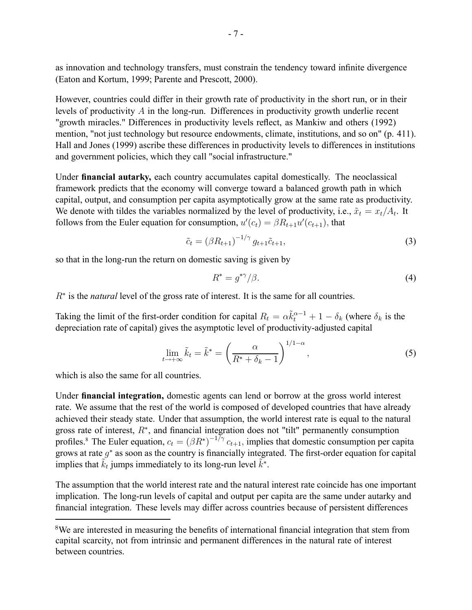as innovation and technology transfers, must constrain the tendency toward infinite divergence (Eaton and Kortum, 1999; Parente and Prescott, 2000).

However, countries could differ in their growth rate of productivity in the short run, or in their levels of productivity A in the long-run. Differences in productivity growth underlie recent "growth miracles." Differences in productivity levels reflect, as Mankiw and others (1992) mention, "not just technology but resource endowments, climate, institutions, and so on" (p. 411). Hall and Jones (1999) ascribe these differences in productivity levels to differences in institutions and government policies, which they call "social infrastructure."

Under **financial autarky,** each country accumulates capital domestically. The neoclassical framework predicts that the economy will converge toward a balanced growth path in which capital, output, and consumption per capita asymptotically grow at the same rate as productivity. We denote with tildes the variables normalized by the level of productivity, i.e.,  $\tilde{x}_t = x_t/A_t$ . It follows from the Euler equation for consumption,  $u'(c_t) = \beta R_{t+1}u'(c_{t+1})$ , that

$$
\tilde{c}_t = (\beta R_{t+1})^{-1/\gamma} g_{t+1} \tilde{c}_{t+1},\tag{3}
$$

so that in the long-run the return on domestic saving is given by

$$
R^* = g^{*\gamma}/\beta. \tag{4}
$$

R<sup>∗</sup> is the *natural* level of the gross rate of interest. It is the same for all countries.

Taking the limit of the first-order condition for capital  $R_t = \alpha \tilde{k}_t^{\alpha-1} + 1 - \delta_k$  (where  $\delta_k$  is the depreciation rate of capital) gives the asymptotic level of productivity-adjusted capital

$$
\lim_{t \to +\infty} \tilde{k}_t = \tilde{k}^* = \left(\frac{\alpha}{R^* + \delta_k - 1}\right)^{1/1 - \alpha},\tag{5}
$$

which is also the same for all countries.

Under **financial integration,** domestic agents can lend or borrow at the gross world interest rate. We assume that the rest of the world is composed of developed countries that have already achieved their steady state. Under that assumption, the world interest rate is equal to the natural gross rate of interest,  $R^*$ , and financial integration does not "tilt" permanently consumption profiles.<sup>8</sup> The Euler equation,  $c_t = (\beta R^*)^{-1/\gamma} c_{t+1}$ , implies that domestic consumption per capita grows at rate  $q^*$  as soon as the country is financially integrated. The first-order equation for capital implies that  $\tilde{k}_t$  jumps immediately to its long-run level  $\tilde{k}^*$ .

The assumption that the world interest rate and the natural interest rate coincide has one important implication. The long-run levels of capital and output per capita are the same under autarky and financial integration. These levels may differ across countries because of persistent differences

<sup>&</sup>lt;sup>8</sup>We are interested in measuring the benefits of international financial integration that stem from capital scarcity, not from intrinsic and permanent differences in the natural rate of interest between countries.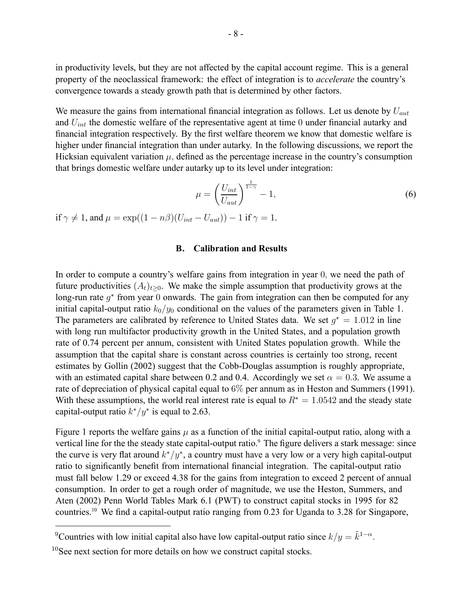in productivity levels, but they are not affected by the capital account regime. This is a general property of the neoclassical framework: the effect of integration is to *accelerate* the country's convergence towards a steady growth path that is determined by other factors.

We measure the gains from international financial integration as follows. Let us denote by  $U_{aut}$ and  $U_{int}$  the domestic welfare of the representative agent at time 0 under financial autarky and financial integration respectively. By the first welfare theorem we know that domestic welfare is higher under financial integration than under autarky. In the following discussions, we report the Hicksian equivalent variation  $\mu$ , defined as the percentage increase in the country's consumption that brings domestic welfare under autarky up to its level under integration:

$$
\mu = \left(\frac{U_{int}}{U_{aut}}\right)^{\frac{1}{1-\gamma}} - 1,\tag{6}
$$

if  $\gamma \neq 1$ , and  $\mu = \exp((1 - n\beta)(U_{int} - U_{aut})) - 1$  if  $\gamma = 1$ .

#### **B. Calibration and Results**

In order to compute a country's welfare gains from integration in year 0, we need the path of future productivities  $(A_t)_{t>0}$ . We make the simple assumption that productivity grows at the long-run rate  $g^*$  from year 0 onwards. The gain from integration can then be computed for any initial capital-output ratio  $k_0/y_0$  conditional on the values of the parameters given in Table 1. The parameters are calibrated by reference to United States data. We set  $q^* = 1.012$  in line with long run multifactor productivity growth in the United States, and a population growth rate of 0.74 percent per annum, consistent with United States population growth. While the assumption that the capital share is constant across countries is certainly too strong, recent estimates by Gollin (2002) suggest that the Cobb-Douglas assumption is roughly appropriate, with an estimated capital share between 0.2 and 0.4. Accordingly we set  $\alpha = 0.3$ . We assume a rate of depreciation of physical capital equal to 6% per annum as in Heston and Summers (1991). With these assumptions, the world real interest rate is equal to  $R^* = 1.0542$  and the steady state capital-output ratio  $k*/y^*$  is equal to 2.63.

Figure 1 reports the welfare gains  $\mu$  as a function of the initial capital-output ratio, along with a vertical line for the the steady state capital-output ratio.<sup>9</sup> The figure delivers a stark message: since the curve is very flat around  $k*/y^*$ , a country must have a very low or a very high capital-output ratio to significantly benefit from international financial integration. The capital-output ratio must fall below 1.29 or exceed 4.38 for the gains from integration to exceed 2 percent of annual consumption. In order to get a rough order of magnitude, we use the Heston, Summers, and Aten (2002) Penn World Tables Mark 6.1 (PWT) to construct capital stocks in 1995 for 82 countries.10 We find a capital-output ratio ranging from 0.23 for Uganda to 3.28 for Singapore,

<sup>&</sup>lt;sup>9</sup>Countries with low initial capital also have low capital-output ratio since  $k/y = \tilde{k}^{1-\alpha}$ .

<sup>&</sup>lt;sup>10</sup>See next section for more details on how we construct capital stocks.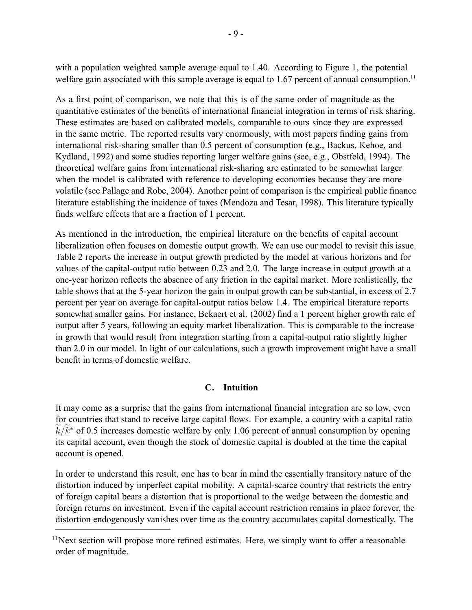with a population weighted sample average equal to 1.40. According to Figure 1, the potential welfare gain associated with this sample average is equal to 1.67 percent of annual consumption.<sup>11</sup>

As a first point of comparison, we note that this is of the same order of magnitude as the quantitative estimates of the benefits of international financial integration in terms of risk sharing. These estimates are based on calibrated models, comparable to ours since they are expressed in the same metric. The reported results vary enormously, with most papers finding gains from international risk-sharing smaller than 0.5 percent of consumption (e.g., Backus, Kehoe, and Kydland, 1992) and some studies reporting larger welfare gains (see, e.g., Obstfeld, 1994). The theoretical welfare gains from international risk-sharing are estimated to be somewhat larger when the model is calibrated with reference to developing economies because they are more volatile (see Pallage and Robe, 2004). Another point of comparison is the empirical public finance literature establishing the incidence of taxes (Mendoza and Tesar, 1998). This literature typically finds welfare effects that are a fraction of 1 percent.

As mentioned in the introduction, the empirical literature on the benefits of capital account liberalization often focuses on domestic output growth. We can use our model to revisit this issue. Table 2 reports the increase in output growth predicted by the model at various horizons and for values of the capital-output ratio between 0.23 and 2.0. The large increase in output growth at a one-year horizon reflects the absence of any friction in the capital market. More realistically, the table shows that at the 5-year horizon the gain in output growth can be substantial, in excess of 2.7 percent per year on average for capital-output ratios below 1.4. The empirical literature reports somewhat smaller gains. For instance, Bekaert et al. (2002) find a 1 percent higher growth rate of output after 5 years, following an equity market liberalization. This is comparable to the increase in growth that would result from integration starting from a capital-output ratio slightly higher than 2.0 in our model. In light of our calculations, such a growth improvement might have a small benefit in terms of domestic welfare.

# **C. Intuition**

It may come as a surprise that the gains from international financial integration are so low, even for countries that stand to receive large capital flows. For example, a country with a capital ratio  $k/k^*$  of 0.5 increases domestic welfare by only 1.06 percent of annual consumption by opening its capital account, even though the stock of domestic capital is doubled at the time the capital account is opened.

In order to understand this result, one has to bear in mind the essentially transitory nature of the distortion induced by imperfect capital mobility. A capital-scarce country that restricts the entry of foreign capital bears a distortion that is proportional to the wedge between the domestic and foreign returns on investment. Even if the capital account restriction remains in place forever, the distortion endogenously vanishes over time as the country accumulates capital domestically. The

 $11$ Next section will propose more refined estimates. Here, we simply want to offer a reasonable order of magnitude.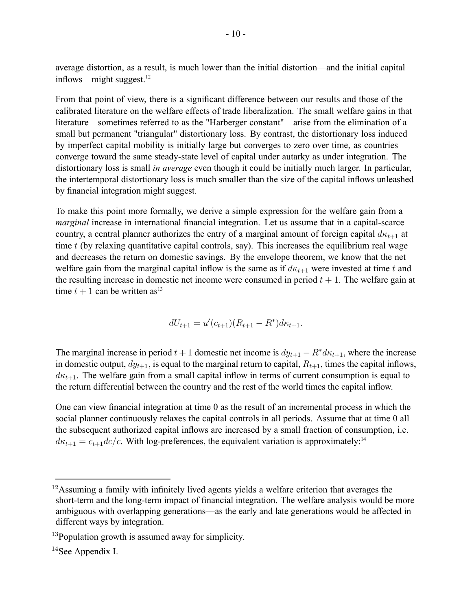average distortion, as a result, is much lower than the initial distortion—and the initial capital inflows—might suggest. $12$ 

From that point of view, there is a significant difference between our results and those of the calibrated literature on the welfare effects of trade liberalization. The small welfare gains in that literature—sometimes referred to as the "Harberger constant"—arise from the elimination of a small but permanent "triangular" distortionary loss. By contrast, the distortionary loss induced by imperfect capital mobility is initially large but converges to zero over time, as countries converge toward the same steady-state level of capital under autarky as under integration. The distortionary loss is small *in average* even though it could be initially much larger. In particular, the intertemporal distortionary loss is much smaller than the size of the capital inflows unleashed by financial integration might suggest.

To make this point more formally, we derive a simple expression for the welfare gain from a *marginal* increase in international financial integration. Let us assume that in a capital-scarce country, a central planner authorizes the entry of a marginal amount of foreign capital  $d\kappa_{t+1}$  at time  $t$  (by relaxing quantitative capital controls, say). This increases the equilibrium real wage and decreases the return on domestic savings. By the envelope theorem, we know that the net welfare gain from the marginal capital inflow is the same as if  $d\kappa_{t+1}$  were invested at time t and the resulting increase in domestic net income were consumed in period  $t + 1$ . The welfare gain at time  $t + 1$  can be written as<sup>13</sup>

$$
dU_{t+1} = u'(c_{t+1})(R_{t+1} - R^*)d\kappa_{t+1}.
$$

The marginal increase in period  $t + 1$  domestic net income is  $dy_{t+1} - R^* d\kappa_{t+1}$ , where the increase in domestic output,  $dy_{t+1}$ , is equal to the marginal return to capital,  $R_{t+1}$ , times the capital inflows,  $d\kappa_{t+1}$ . The welfare gain from a small capital inflow in terms of current consumption is equal to the return differential between the country and the rest of the world times the capital inflow.

One can view financial integration at time 0 as the result of an incremental process in which the social planner continuously relaxes the capital controls in all periods. Assume that at time 0 all the subsequent authorized capital inflows are increased by a small fraction of consumption, i.e.  $d\kappa_{t+1} = c_{t+1}dc/c$ . With log-preferences, the equivalent variation is approximately:<sup>14</sup>

<sup>&</sup>lt;sup>12</sup>Assuming a family with infinitely lived agents yields a welfare criterion that averages the short-term and the long-term impact of financial integration. The welfare analysis would be more ambiguous with overlapping generations—as the early and late generations would be affected in different ways by integration.

<sup>&</sup>lt;sup>13</sup>Population growth is assumed away for simplicity.

<sup>14</sup>See Appendix I.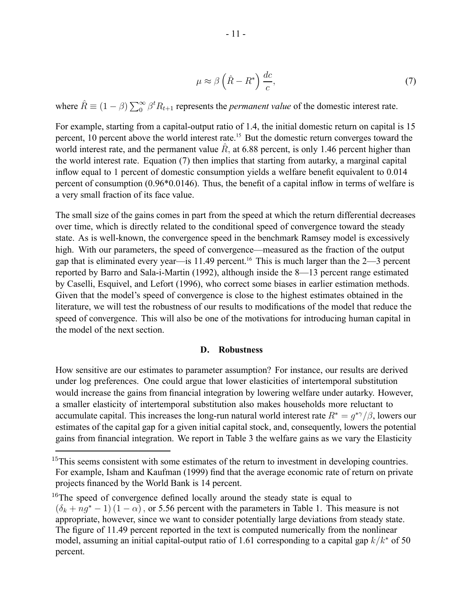$$
\mu \approx \beta \left(\hat{R} - R^*\right) \frac{dc}{c},\tag{7}
$$

where  $\hat{R} \equiv (1 - \beta) \sum_{0}^{\infty} \beta^{t} R_{t+1}$  represents the *permanent value* of the domestic interest rate.

For example, starting from a capital-output ratio of 1.4, the initial domestic return on capital is 15 percent, 10 percent above the world interest rate.<sup>15</sup> But the domestic return converges toward the world interest rate, and the permanent value  $\hat{R}$ , at 6.88 percent, is only 1.46 percent higher than the world interest rate. Equation (7) then implies that starting from autarky, a marginal capital inflow equal to 1 percent of domestic consumption yields a welfare benefit equivalent to 0.014 percent of consumption (0.96\*0.0146). Thus, the benefit of a capital inflow in terms of welfare is a very small fraction of its face value.

The small size of the gains comes in part from the speed at which the return differential decreases over time, which is directly related to the conditional speed of convergence toward the steady state. As is well-known, the convergence speed in the benchmark Ramsey model is excessively high. With our parameters, the speed of convergence—measured as the fraction of the output gap that is eliminated every year—is 11.49 percent.<sup>16</sup> This is much larger than the  $2-3$  percent reported by Barro and Sala-i-Martin (1992), although inside the 8—13 percent range estimated by Caselli, Esquivel, and Lefort (1996), who correct some biases in earlier estimation methods. Given that the model's speed of convergence is close to the highest estimates obtained in the literature, we will test the robustness of our results to modifications of the model that reduce the speed of convergence. This will also be one of the motivations for introducing human capital in the model of the next section.

#### **D. Robustness**

How sensitive are our estimates to parameter assumption? For instance, our results are derived under log preferences. One could argue that lower elasticities of intertemporal substitution would increase the gains from financial integration by lowering welfare under autarky. However, a smaller elasticity of intertemporal substitution also makes households more reluctant to accumulate capital. This increases the long-run natural world interest rate  $R^* = q^{*\gamma}/\beta$ , lowers our estimates of the capital gap for a given initial capital stock, and, consequently, lowers the potential gains from financial integration. We report in Table 3 the welfare gains as we vary the Elasticity

<sup>&</sup>lt;sup>15</sup>This seems consistent with some estimates of the return to investment in developing countries. For example, Isham and Kaufman (1999) find that the average economic rate of return on private projects financed by the World Bank is 14 percent.

 $16$ The speed of convergence defined locally around the steady state is equal to  $(\delta_k + nq^* - 1)(1 - \alpha)$ , or 5.56 percent with the parameters in Table 1. This measure is not appropriate, however, since we want to consider potentially large deviations from steady state. The figure of 11.49 percent reported in the text is computed numerically from the nonlinear model, assuming an initial capital-output ratio of 1.61 corresponding to a capital gap  $k/k^*$  of 50 percent.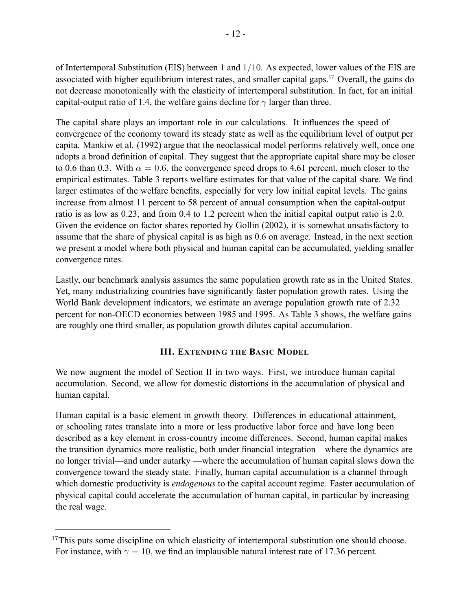of Intertemporal Substitution (EIS) between 1 and 1/10. As expected, lower values of the EIS are associated with higher equilibrium interest rates, and smaller capital gaps.17 Overall, the gains do not decrease monotonically with the elasticity of intertemporal substitution. In fact, for an initial capital-output ratio of 1.4, the welfare gains decline for  $\gamma$  larger than three.

The capital share plays an important role in our calculations. It influences the speed of convergence of the economy toward its steady state as well as the equilibrium level of output per capita. Mankiw et al. (1992) argue that the neoclassical model performs relatively well, once one adopts a broad definition of capital. They suggest that the appropriate capital share may be closer to 0.6 than 0.3. With  $\alpha = 0.6$ , the convergence speed drops to 4.61 percent, much closer to the empirical estimates. Table 3 reports welfare estimates for that value of the capital share. We find larger estimates of the welfare benefits, especially for very low initial capital levels. The gains increase from almost 11 percent to 58 percent of annual consumption when the capital-output ratio is as low as 0.23, and from 0.4 to 1.2 percent when the initial capital output ratio is 2.0. Given the evidence on factor shares reported by Gollin (2002), it is somewhat unsatisfactory to assume that the share of physical capital is as high as 0.6 on average. Instead, in the next section we present a model where both physical and human capital can be accumulated, yielding smaller convergence rates.

Lastly, our benchmark analysis assumes the same population growth rate as in the United States. Yet, many industrializing countries have significantly faster population growth rates. Using the World Bank development indicators, we estimate an average population growth rate of 2.32 percent for non-OECD economies between 1985 and 1995. As Table 3 shows, the welfare gains are roughly one third smaller, as population growth dilutes capital accumulation.

# **III. EXTENDING THE BASIC MODEL**

We now augment the model of Section II in two ways. First, we introduce human capital accumulation. Second, we allow for domestic distortions in the accumulation of physical and human capital.

Human capital is a basic element in growth theory. Differences in educational attainment, or schooling rates translate into a more or less productive labor force and have long been described as a key element in cross-country income differences. Second, human capital makes the transition dynamics more realistic, both under financial integration—where the dynamics are no longer trivial—and under autarky —where the accumulation of human capital slows down the convergence toward the steady state. Finally, human capital accumulation is a channel through which domestic productivity is *endogenous* to the capital account regime. Faster accumulation of physical capital could accelerate the accumulation of human capital, in particular by increasing the real wage.

 $17$ This puts some discipline on which elasticity of intertemporal substitution one should choose. For instance, with  $\gamma = 10$ , we find an implausible natural interest rate of 17.36 percent.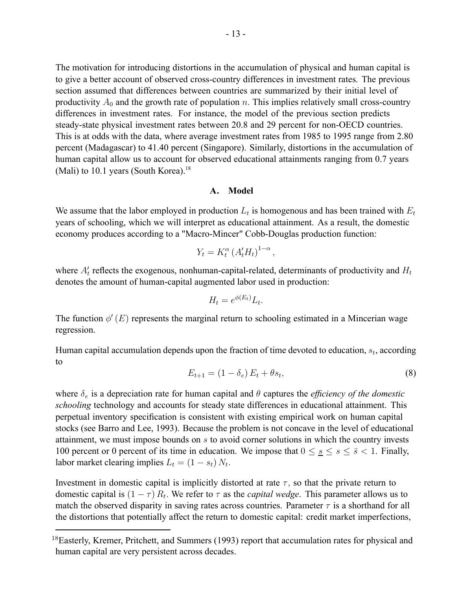The motivation for introducing distortions in the accumulation of physical and human capital is to give a better account of observed cross-country differences in investment rates. The previous section assumed that differences between countries are summarized by their initial level of productivity  $A_0$  and the growth rate of population n. This implies relatively small cross-country differences in investment rates. For instance, the model of the previous section predicts steady-state physical investment rates between 20.8 and 29 percent for non-OECD countries. This is at odds with the data, where average investment rates from 1985 to 1995 range from 2.80 percent (Madagascar) to 41.40 percent (Singapore). Similarly, distortions in the accumulation of human capital allow us to account for observed educational attainments ranging from 0.7 years (Mali) to 10.1 years (South Korea).<sup>18</sup>

## **A. Model**

We assume that the labor employed in production  $L_t$  is homogenous and has been trained with  $E_t$ years of schooling, which we will interpret as educational attainment. As a result, the domestic economy produces according to a "Macro-Mincer" Cobb-Douglas production function:

$$
Y_t = K_t^{\alpha} \left( A_t' H_t \right)^{1-\alpha},
$$

where  $A_t'$  reflects the exogenous, nonhuman-capital-related, determinants of productivity and  $H_t$ denotes the amount of human-capital augmented labor used in production:

$$
H_t = e^{\phi(E_t)} L_t.
$$

The function  $\phi'(E)$  represents the marginal return to schooling estimated in a Mincerian wage regression.

Human capital accumulation depends upon the fraction of time devoted to education,  $s_t$ , according to

$$
E_{t+1} = (1 - \delta_e) E_t + \theta s_t, \tag{8}
$$

where  $\delta_e$  is a depreciation rate for human capital and  $\theta$  captures the *efficiency of the domestic schooling* technology and accounts for steady state differences in educational attainment. This perpetual inventory specification is consistent with existing empirical work on human capital stocks (see Barro and Lee, 1993). Because the problem is not concave in the level of educational attainment, we must impose bounds on s to avoid corner solutions in which the country invests 100 percent or 0 percent of its time in education. We impose that  $0 \leq s \leq s \leq \bar{s} < 1$ . Finally, labor market clearing implies  $L_t = (1 - s_t) N_t$ .

Investment in domestic capital is implicitly distorted at rate  $\tau$ , so that the private return to domestic capital is  $(1 - \tau) R_t$ . We refer to  $\tau$  as the *capital wedge*. This parameter allows us to match the observed disparity in saving rates across countries. Parameter  $\tau$  is a shorthand for all the distortions that potentially affect the return to domestic capital: credit market imperfections,

<sup>&</sup>lt;sup>18</sup>Easterly, Kremer, Pritchett, and Summers (1993) report that accumulation rates for physical and human capital are very persistent across decades.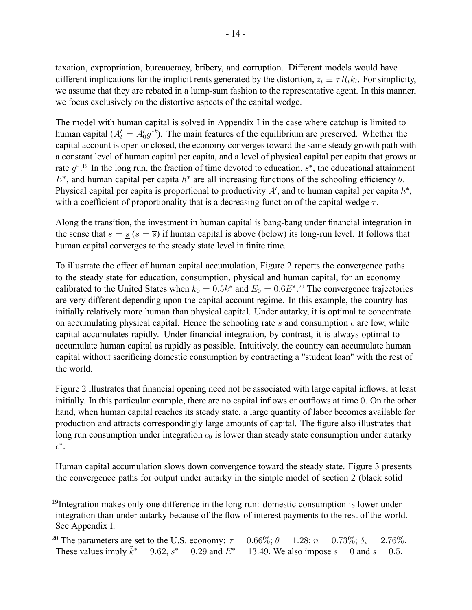taxation, expropriation, bureaucracy, bribery, and corruption. Different models would have different implications for the implicit rents generated by the distortion,  $z_t \equiv \tau R_t k_t$ . For simplicity, we assume that they are rebated in a lump-sum fashion to the representative agent. In this manner, we focus exclusively on the distortive aspects of the capital wedge.

The model with human capital is solved in Appendix I in the case where catchup is limited to human capital ( $A_t' = A_0' g^{*t}$ ). The main features of the equilibrium are preserved. Whether the capital account is open or closed, the economy converges toward the same steady growth path with a constant level of human capital per capita, and a level of physical capital per capita that grows at rate  $g^*$ .<sup>19</sup> In the long run, the fraction of time devoted to education,  $s^*$ , the educational attainment  $E^*$ , and human capital per capita  $h^*$  are all increasing functions of the schooling efficiency  $\theta$ . Physical capital per capita is proportional to productivity A', and to human capital per capita  $h^*$ , with a coefficient of proportionality that is a decreasing function of the capital wedge  $\tau$ .

Along the transition, the investment in human capital is bang-bang under financial integration in the sense that  $s = s(s = \overline{s})$  if human capital is above (below) its long-run level. It follows that human capital converges to the steady state level in finite time.

To illustrate the effect of human capital accumulation, Figure 2 reports the convergence paths to the steady state for education, consumption, physical and human capital, for an economy calibrated to the United States when  $k_0 = 0.5k^*$  and  $E_0 = 0.6E^*$ .<sup>20</sup> The convergence trajectories are very different depending upon the capital account regime. In this example, the country has initially relatively more human than physical capital. Under autarky, it is optimal to concentrate on accumulating physical capital. Hence the schooling rate s and consumption  $c$  are low, while capital accumulates rapidly. Under financial integration, by contrast, it is always optimal to accumulate human capital as rapidly as possible. Intuitively, the country can accumulate human capital without sacrificing domestic consumption by contracting a "student loan" with the rest of the world.

Figure 2 illustrates that financial opening need not be associated with large capital inflows, at least initially. In this particular example, there are no capital inflows or outflows at time 0. On the other hand, when human capital reaches its steady state, a large quantity of labor becomes available for production and attracts correspondingly large amounts of capital. The figure also illustrates that long run consumption under integration  $c_0$  is lower than steady state consumption under autarky  $c^*$ .

Human capital accumulation slows down convergence toward the steady state. Figure 3 presents the convergence paths for output under autarky in the simple model of section 2 (black solid

 $19$ Integration makes only one difference in the long run: domestic consumption is lower under integration than under autarky because of the flow of interest payments to the rest of the world. See Appendix I.

<sup>&</sup>lt;sup>20</sup> The parameters are set to the U.S. economy:  $\tau = 0.66\%$ ;  $\theta = 1.28$ ;  $n = 0.73\%$ ;  $\delta_e = 2.76\%$ . These values imply  $\tilde{k}^* = 9.62$ ,  $s^* = 0.29$  and  $E^* = 13.49$ . We also impose  $\underline{s} = 0$  and  $\overline{s} = 0.5$ .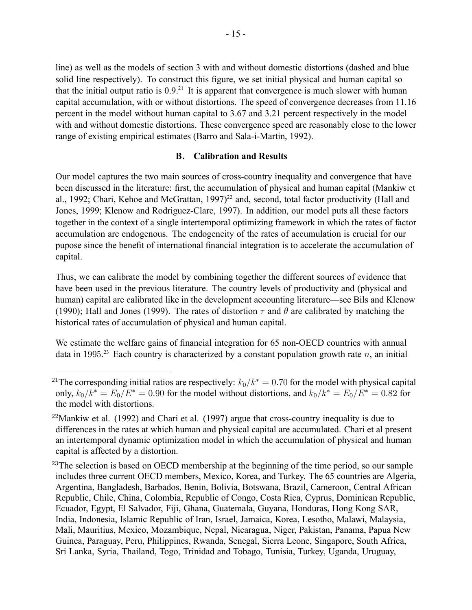line) as well as the models of section 3 with and without domestic distortions (dashed and blue solid line respectively). To construct this figure, we set initial physical and human capital so that the initial output ratio is  $0.9<sup>21</sup>$  It is apparent that convergence is much slower with human capital accumulation, with or without distortions. The speed of convergence decreases from 11.16 percent in the model without human capital to 3.67 and 3.21 percent respectively in the model with and without domestic distortions. These convergence speed are reasonably close to the lower range of existing empirical estimates (Barro and Sala-i-Martin, 1992).

## **B. Calibration and Results**

Our model captures the two main sources of cross-country inequality and convergence that have been discussed in the literature: first, the accumulation of physical and human capital (Mankiw et al., 1992; Chari, Kehoe and McGrattan, 1997)<sup>22</sup> and, second, total factor productivity (Hall and Jones, 1999; Klenow and Rodriguez-Clare, 1997). In addition, our model puts all these factors together in the context of a single intertemporal optimizing framework in which the rates of factor accumulation are endogenous. The endogeneity of the rates of accumulation is crucial for our pupose since the benefit of international financial integration is to accelerate the accumulation of capital.

Thus, we can calibrate the model by combining together the different sources of evidence that have been used in the previous literature. The country levels of productivity and (physical and human) capital are calibrated like in the development accounting literature—see Bils and Klenow (1990); Hall and Jones (1999). The rates of distortion  $\tau$  and  $\theta$  are calibrated by matching the historical rates of accumulation of physical and human capital.

We estimate the welfare gains of financial integration for 65 non-OECD countries with annual data in 1995.<sup>23</sup> Each country is characterized by a constant population growth rate  $n$ , an initial

<sup>&</sup>lt;sup>21</sup>The corresponding initial ratios are respectively:  $k_0/k^* = 0.70$  for the model with physical capital only,  $k_0/k^* = E_0/E^* = 0.90$  for the model without distortions, and  $k_0/k^* = E_0/E^* = 0.82$  for the model with distortions.

<sup>&</sup>lt;sup>22</sup>Mankiw et al. (1992) and Chari et al. (1997) argue that cross-country inequality is due to differences in the rates at which human and physical capital are accumulated. Chari et al present an intertemporal dynamic optimization model in which the accumulation of physical and human capital is affected by a distortion.

 $^{23}$ The selection is based on OECD membership at the beginning of the time period, so our sample includes three current OECD members, Mexico, Korea, and Turkey. The 65 countries are Algeria, Argentina, Bangladesh, Barbados, Benin, Bolivia, Botswana, Brazil, Cameroon, Central African Republic, Chile, China, Colombia, Republic of Congo, Costa Rica, Cyprus, Dominican Republic, Ecuador, Egypt, El Salvador, Fiji, Ghana, Guatemala, Guyana, Honduras, Hong Kong SAR, India, Indonesia, Islamic Republic of Iran, Israel, Jamaica, Korea, Lesotho, Malawi, Malaysia, Mali, Mauritius, Mexico, Mozambique, Nepal, Nicaragua, Niger, Pakistan, Panama, Papua New Guinea, Paraguay, Peru, Philippines, Rwanda, Senegal, Sierra Leone, Singapore, South Africa, Sri Lanka, Syria, Thailand, Togo, Trinidad and Tobago, Tunisia, Turkey, Uganda, Uruguay,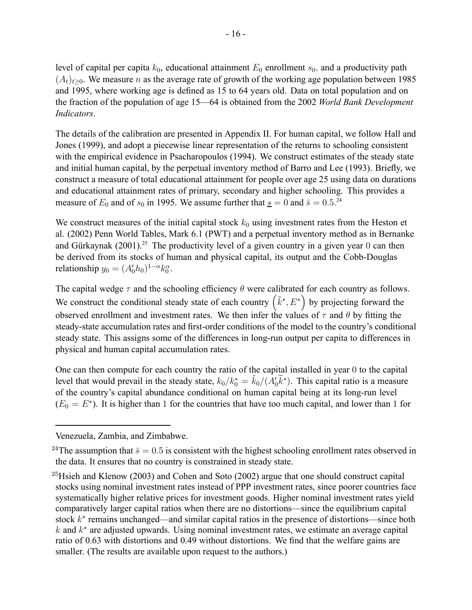level of capital per capita  $k_0$ , educational attainment  $E_0$  enrollment  $s_0$ , and a productivity path  $(A_t)_{t>0}$ . We measure *n* as the average rate of growth of the working age population between 1985 and 1995, where working age is defined as 15 to 64 years old. Data on total population and on the fraction of the population of age 15—64 is obtained from the 2002 *World Bank Development Indicators*.

The details of the calibration are presented in Appendix II. For human capital, we follow Hall and Jones (1999), and adopt a piecewise linear representation of the returns to schooling consistent with the empirical evidence in Psacharopoulos (1994). We construct estimates of the steady state and initial human capital, by the perpetual inventory method of Barro and Lee (1993). Briefly, we construct a measure of total educational attainment for people over age 25 using data on durations and educational attainment rates of primary, secondary and higher schooling. This provides a measure of  $E_0$  and of  $s_0$  in 1995. We assume further that  $s = 0$  and  $\bar{s} = 0.5$ .<sup>24</sup>

We construct measures of the initial capital stock  $k_0$  using investment rates from the Heston et al. (2002) Penn World Tables, Mark 6.1 (PWT) and a perpetual inventory method as in Bernanke and Gürkaynak (2001).<sup>25</sup> The productivity level of a given country in a given year 0 can then be derived from its stocks of human and physical capital, its output and the Cobb-Douglas relationship  $y_0 = (A'_0 h_0)^{1-\alpha} k_0^{\alpha}$ .

The capital wedge  $\tau$  and the schooling efficiency  $\theta$  were calibrated for each country as follows. We construct the conditional steady state of each country  $(\tilde{k}^*, E^*)$  by projecting forward the observed enrollment and investment rates. We then infer the values of  $\tau$  and  $\theta$  by fitting the steady-state accumulation rates and first-order conditions of the model to the country's conditional steady state. This assigns some of the differences in long-run output per capita to differences in physical and human capital accumulation rates.

One can then compute for each country the ratio of the capital installed in year 0 to the capital level that would prevail in the steady state,  $k_0/k_0^* = \tilde{k}_0/(A_0'\tilde{k}^*)$ . This capital ratio is a measure of the country's capital abundance conditional on human capital being at its long-run level  $(E_0 = E^*)$ . It is higher than 1 for the countries that have too much capital, and lower than 1 for

Venezuela, Zambia, and Zimbabwe.

<sup>&</sup>lt;sup>24</sup>The assumption that  $\bar{s}=0.5$  is consistent with the highest schooling enrollment rates observed in the data. It ensures that no country is constrained in steady state.

 $^{25}$ Hsieh and Klenow (2003) and Cohen and Soto (2002) argue that one should construct capital stocks using nominal investment rates instead of PPP investment rates, since poorer countries face systematically higher relative prices for investment goods. Higher nominal investment rates yield comparatively larger capital ratios when there are no distortions—since the equilibrium capital stock k<sup>∗</sup> remains unchanged—and similar capital ratios in the presence of distortions—since both k and  $k<sup>*</sup>$  are adjusted upwards. Using nominal investment rates, we estimate an average capital ratio of 0.63 with distortions and 0.49 without distortions. We find that the welfare gains are smaller. (The results are available upon request to the authors.)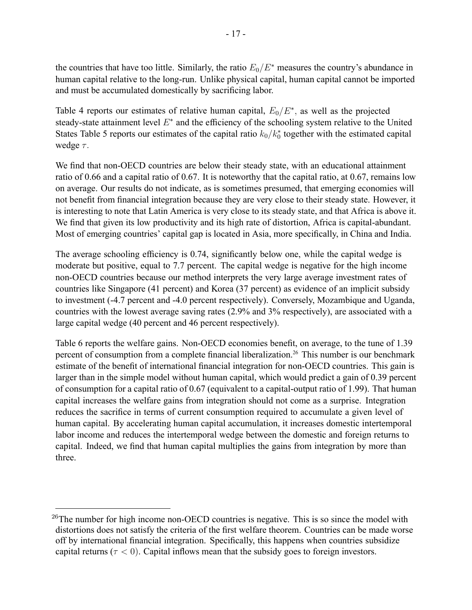the countries that have too little. Similarly, the ratio  $E_0/E^*$  measures the country's abundance in human capital relative to the long-run. Unlike physical capital, human capital cannot be imported and must be accumulated domestically by sacrificing labor.

Table 4 reports our estimates of relative human capital,  $E_0/E^*$ , as well as the projected steady-state attainment level E<sup>∗</sup> and the efficiency of the schooling system relative to the United States Table 5 reports our estimates of the capital ratio  $k_0/k_0^*$  together with the estimated capital wedge  $\tau$ .

We find that non-OECD countries are below their steady state, with an educational attainment ratio of 0.66 and a capital ratio of 0.67. It is noteworthy that the capital ratio, at 0.67, remains low on average. Our results do not indicate, as is sometimes presumed, that emerging economies will not benefit from financial integration because they are very close to their steady state. However, it is interesting to note that Latin America is very close to its steady state, and that Africa is above it. We find that given its low productivity and its high rate of distortion, Africa is capital-abundant. Most of emerging countries' capital gap is located in Asia, more specifically, in China and India.

The average schooling efficiency is 0.74, significantly below one, while the capital wedge is moderate but positive, equal to 7.7 percent. The capital wedge is negative for the high income non-OECD countries because our method interprets the very large average investment rates of countries like Singapore (41 percent) and Korea (37 percent) as evidence of an implicit subsidy to investment (-4.7 percent and -4.0 percent respectively). Conversely, Mozambique and Uganda, countries with the lowest average saving rates (2.9% and 3% respectively), are associated with a large capital wedge (40 percent and 46 percent respectively).

Table 6 reports the welfare gains. Non-OECD economies benefit, on average, to the tune of 1.39 percent of consumption from a complete financial liberalization.<sup>26</sup> This number is our benchmark estimate of the benefit of international financial integration for non-OECD countries. This gain is larger than in the simple model without human capital, which would predict a gain of 0.39 percent of consumption for a capital ratio of 0.67 (equivalent to a capital-output ratio of 1.99). That human capital increases the welfare gains from integration should not come as a surprise. Integration reduces the sacrifice in terms of current consumption required to accumulate a given level of human capital. By accelerating human capital accumulation, it increases domestic intertemporal labor income and reduces the intertemporal wedge between the domestic and foreign returns to capital. Indeed, we find that human capital multiplies the gains from integration by more than three.

 $^{26}$ The number for high income non-OECD countries is negative. This is so since the model with distortions does not satisfy the criteria of the first welfare theorem. Countries can be made worse off by international financial integration. Specifically, this happens when countries subsidize capital returns ( $\tau$  < 0). Capital inflows mean that the subsidy goes to foreign investors.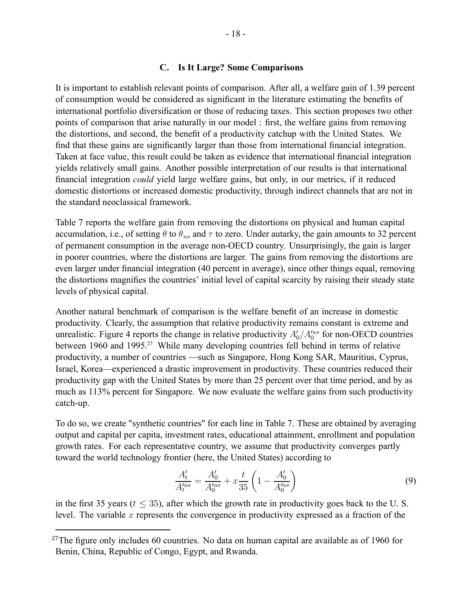## **C. Is It Large? Some Comparisons**

It is important to establish relevant points of comparison. After all, a welfare gain of 1.39 percent of consumption would be considered as significant in the literature estimating the benefits of international portfolio diversification or those of reducing taxes. This section proposes two other points of comparison that arise naturally in our model : first, the welfare gains from removing the distortions, and second, the benefit of a productivity catchup with the United States. We find that these gains are significantly larger than those from international financial integration. Taken at face value, this result could be taken as evidence that international financial integration yields relatively small gains. Another possible interpretation of our results is that international financial integration *could* yield large welfare gains, but only, in our metrics, if it reduced domestic distortions or increased domestic productivity, through indirect channels that are not in the standard neoclassical framework.

Table 7 reports the welfare gain from removing the distortions on physical and human capital accumulation, i.e., of setting  $\theta$  to  $\theta_{us}$  and  $\tau$  to zero. Under autarky, the gain amounts to 32 percent of permanent consumption in the average non-OECD country. Unsurprisingly, the gain is larger in poorer countries, where the distortions are larger. The gains from removing the distortions are even larger under financial integration (40 percent in average), since other things equal, removing the distortions magnifies the countries' initial level of capital scarcity by raising their steady state levels of physical capital.

Another natural benchmark of comparison is the welfare benefit of an increase in domestic productivity. Clearly, the assumption that relative productivity remains constant is extreme and unrealistic. Figure 4 reports the change in relative productivity  $A'_0/A'^{us}_0$  for non-OECD countries between 1960 and 1995.<sup>27</sup> While many developing countries fell behind in terms of relative productivity, a number of countries —such as Singapore, Hong Kong SAR, Mauritius, Cyprus, Israel, Korea—experienced a drastic improvement in productivity. These countries reduced their productivity gap with the United States by more than 25 percent over that time period, and by as much as 113% percent for Singapore. We now evaluate the welfare gains from such productivity catch-up.

To do so, we create "synthetic countries" for each line in Table 7. These are obtained by averaging output and capital per capita, investment rates, educational attainment, enrollment and population growth rates. For each representative country, we assume that productivity converges partly toward the world technology frontier (here, the United States) according to

$$
\frac{A'_t}{A'^{us}_t} = \frac{A'_0}{A'^{us}_0} + x\frac{t}{35} \left(1 - \frac{A'_0}{A'^{us}_0}\right)
$$
(9)

in the first 35 years ( $t < 35$ ), after which the growth rate in productivity goes back to the U.S. level. The variable  $x$  represents the convergence in productivity expressed as a fraction of the

 $27$ The figure only includes 60 countries. No data on human capital are available as of 1960 for Benin, China, Republic of Congo, Egypt, and Rwanda.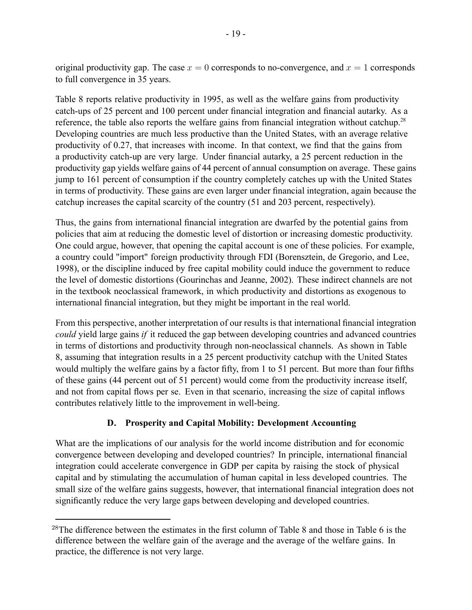original productivity gap. The case  $x = 0$  corresponds to no-convergence, and  $x = 1$  corresponds to full convergence in 35 years.

Table 8 reports relative productivity in 1995, as well as the welfare gains from productivity catch-ups of 25 percent and 100 percent under financial integration and financial autarky. As a reference, the table also reports the welfare gains from financial integration without catchup.<sup>28</sup> Developing countries are much less productive than the United States, with an average relative productivity of 0.27, that increases with income. In that context, we find that the gains from a productivity catch-up are very large. Under financial autarky, a 25 percent reduction in the productivity gap yields welfare gains of 44 percent of annual consumption on average. These gains jump to 161 percent of consumption if the country completely catches up with the United States in terms of productivity. These gains are even larger under financial integration, again because the catchup increases the capital scarcity of the country (51 and 203 percent, respectively).

Thus, the gains from international financial integration are dwarfed by the potential gains from policies that aim at reducing the domestic level of distortion or increasing domestic productivity. One could argue, however, that opening the capital account is one of these policies. For example, a country could "import" foreign productivity through FDI (Borensztein, de Gregorio, and Lee, 1998), or the discipline induced by free capital mobility could induce the government to reduce the level of domestic distortions (Gourinchas and Jeanne, 2002). These indirect channels are not in the textbook neoclassical framework, in which productivity and distortions as exogenous to international financial integration, but they might be important in the real world.

From this perspective, another interpretation of our results is that international financial integration *could* yield large gains *if* it reduced the gap between developing countries and advanced countries in terms of distortions and productivity through non-neoclassical channels. As shown in Table 8, assuming that integration results in a 25 percent productivity catchup with the United States would multiply the welfare gains by a factor fifty, from 1 to 51 percent. But more than four fifths of these gains (44 percent out of 51 percent) would come from the productivity increase itself, and not from capital flows per se. Even in that scenario, increasing the size of capital inflows contributes relatively little to the improvement in well-being.

# **D. Prosperity and Capital Mobility: Development Accounting**

What are the implications of our analysis for the world income distribution and for economic convergence between developing and developed countries? In principle, international financial integration could accelerate convergence in GDP per capita by raising the stock of physical capital and by stimulating the accumulation of human capital in less developed countries. The small size of the welfare gains suggests, however, that international financial integration does not significantly reduce the very large gaps between developing and developed countries.

<sup>&</sup>lt;sup>28</sup>The difference between the estimates in the first column of Table 8 and those in Table 6 is the difference between the welfare gain of the average and the average of the welfare gains. In practice, the difference is not very large.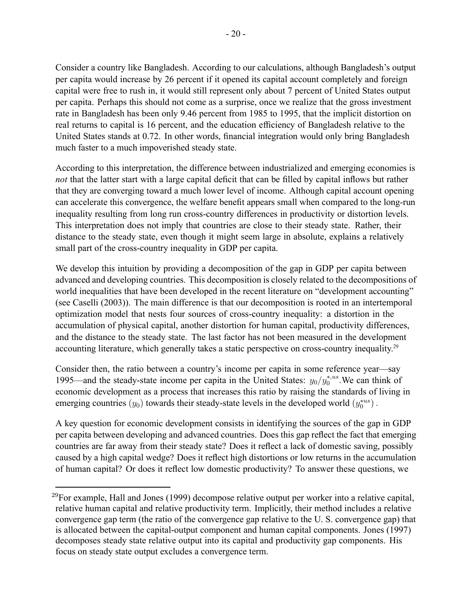Consider a country like Bangladesh. According to our calculations, although Bangladesh's output per capita would increase by 26 percent if it opened its capital account completely and foreign capital were free to rush in, it would still represent only about 7 percent of United States output per capita. Perhaps this should not come as a surprise, once we realize that the gross investment rate in Bangladesh has been only 9.46 percent from 1985 to 1995, that the implicit distortion on real returns to capital is 16 percent, and the education efficiency of Bangladesh relative to the United States stands at 0.72. In other words, financial integration would only bring Bangladesh much faster to a much impoverished steady state.

According to this interpretation, the difference between industrialized and emerging economies is *not* that the latter start with a large capital deficit that can be filled by capital inflows but rather that they are converging toward a much lower level of income. Although capital account opening can accelerate this convergence, the welfare benefit appears small when compared to the long-run inequality resulting from long run cross-country differences in productivity or distortion levels. This interpretation does not imply that countries are close to their steady state. Rather, their distance to the steady state, even though it might seem large in absolute, explains a relatively small part of the cross-country inequality in GDP per capita.

We develop this intuition by providing a decomposition of the gap in GDP per capita between advanced and developing countries. This decomposition is closely related to the decompositions of world inequalities that have been developed in the recent literature on "development accounting" (see Caselli (2003)). The main difference is that our decomposition is rooted in an intertemporal optimization model that nests four sources of cross-country inequality: a distortion in the accumulation of physical capital, another distortion for human capital, productivity differences, and the distance to the steady state. The last factor has not been measured in the development accounting literature, which generally takes a static perspective on cross-country inequality.<sup>29</sup>

Consider then, the ratio between a country's income per capita in some reference year—say 1995—and the steady-state income per capita in the United States:  $y_0/y_0^{*,us}$ . We can think of economic development as a process that increases this ratio by raising the standards of living in emerging countries  $(y_0)$  towards their steady-state levels in the developed world  $(y_0^{*us})$ .

A key question for economic development consists in identifying the sources of the gap in GDP per capita between developing and advanced countries. Does this gap reflect the fact that emerging countries are far away from their steady state? Does it reflect a lack of domestic saving, possibly caused by a high capital wedge? Does it reflect high distortions or low returns in the accumulation of human capital? Or does it reflect low domestic productivity? To answer these questions, we

 $^{29}$ For example, Hall and Jones (1999) decompose relative output per worker into a relative capital, relative human capital and relative productivity term. Implicitly, their method includes a relative convergence gap term (the ratio of the convergence gap relative to the U. S. convergence gap) that is allocated between the capital-output component and human capital components. Jones (1997) decomposes steady state relative output into its capital and productivity gap components. His focus on steady state output excludes a convergence term.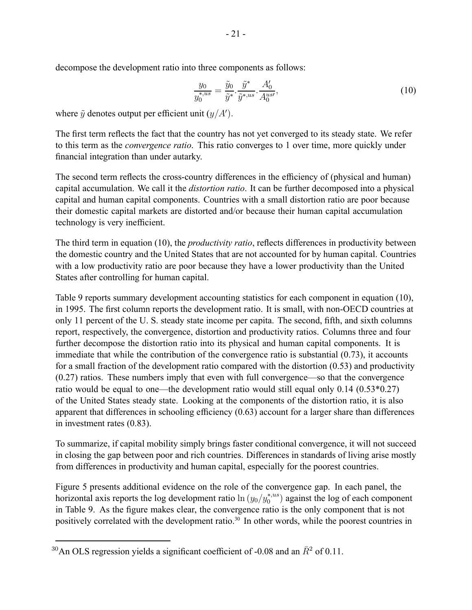decompose the development ratio into three components as follows:

$$
\frac{y_0}{y_0^{*,us}} = \frac{\tilde{y}_0}{\tilde{y}^*} \cdot \frac{\tilde{y}^*}{\tilde{y}^{*,us}} \cdot \frac{A_0'}{A_0^{us'}},\tag{10}
$$

where  $\tilde{y}$  denotes output per efficient unit  $(y/A')$ .

The first term reflects the fact that the country has not yet converged to its steady state. We refer to this term as the *convergence ratio*. This ratio converges to 1 over time, more quickly under financial integration than under autarky.

The second term reflects the cross-country differences in the efficiency of (physical and human) capital accumulation. We call it the *distortion ratio*. It can be further decomposed into a physical capital and human capital components. Countries with a small distortion ratio are poor because their domestic capital markets are distorted and/or because their human capital accumulation technology is very inefficient.

The third term in equation (10), the *productivity ratio*, reflects differences in productivity between the domestic country and the United States that are not accounted for by human capital. Countries with a low productivity ratio are poor because they have a lower productivity than the United States after controlling for human capital.

Table 9 reports summary development accounting statistics for each component in equation (10), in 1995. The first column reports the development ratio. It is small, with non-OECD countries at only 11 percent of the U. S. steady state income per capita. The second, fifth, and sixth columns report, respectively, the convergence, distortion and productivity ratios. Columns three and four further decompose the distortion ratio into its physical and human capital components. It is immediate that while the contribution of the convergence ratio is substantial (0.73), it accounts for a small fraction of the development ratio compared with the distortion (0.53) and productivity (0.27) ratios. These numbers imply that even with full convergence—so that the convergence ratio would be equal to one—the development ratio would still equal only 0.14 (0.53\*0.27) of the United States steady state. Looking at the components of the distortion ratio, it is also apparent that differences in schooling efficiency (0.63) account for a larger share than differences in investment rates (0.83).

To summarize, if capital mobility simply brings faster conditional convergence, it will not succeed in closing the gap between poor and rich countries. Differences in standards of living arise mostly from differences in productivity and human capital, especially for the poorest countries.

Figure 5 presents additional evidence on the role of the convergence gap. In each panel, the horizontal axis reports the log development ratio  $\ln(y_0/y_0^{*,us})$  against the log of each component in Table 9. As the figure makes clear, the convergence ratio is the only component that is not positively correlated with the development ratio.<sup>30</sup> In other words, while the poorest countries in

<sup>&</sup>lt;sup>30</sup>An OLS regression yields a significant coefficient of -0.08 and an  $\bar{R}^2$  of 0.11.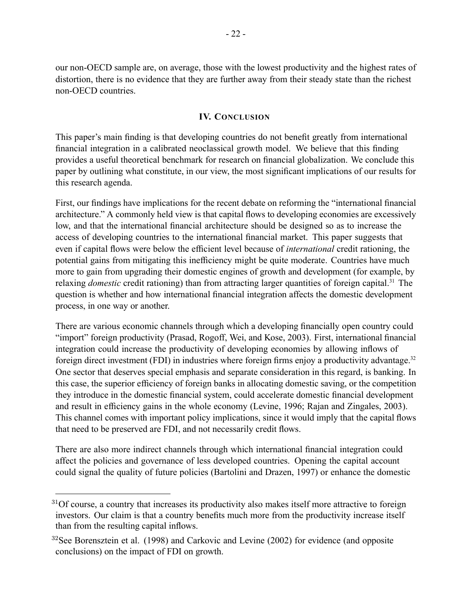our non-OECD sample are, on average, those with the lowest productivity and the highest rates of distortion, there is no evidence that they are further away from their steady state than the richest non-OECD countries.

## **IV. CONCLUSION**

This paper's main finding is that developing countries do not benefit greatly from international financial integration in a calibrated neoclassical growth model. We believe that this finding provides a useful theoretical benchmark for research on financial globalization. We conclude this paper by outlining what constitute, in our view, the most significant implications of our results for this research agenda.

First, our findings have implications for the recent debate on reforming the "international financial architecture." A commonly held view is that capital flows to developing economies are excessively low, and that the international financial architecture should be designed so as to increase the access of developing countries to the international financial market. This paper suggests that even if capital flows were below the efficient level because of *international* credit rationing, the potential gains from mitigating this inefficiency might be quite moderate. Countries have much more to gain from upgrading their domestic engines of growth and development (for example, by relaxing *domestic* credit rationing) than from attracting larger quantities of foreign capital.<sup>31</sup> The question is whether and how international financial integration affects the domestic development process, in one way or another.

There are various economic channels through which a developing financially open country could "import" foreign productivity (Prasad, Rogoff, Wei, and Kose, 2003). First, international financial integration could increase the productivity of developing economies by allowing inflows of foreign direct investment (FDI) in industries where foreign firms enjoy a productivity advantage.<sup>32</sup> One sector that deserves special emphasis and separate consideration in this regard, is banking. In this case, the superior efficiency of foreign banks in allocating domestic saving, or the competition they introduce in the domestic financial system, could accelerate domestic financial development and result in efficiency gains in the whole economy (Levine, 1996; Rajan and Zingales, 2003). This channel comes with important policy implications, since it would imply that the capital flows that need to be preserved are FDI, and not necessarily credit flows.

There are also more indirect channels through which international financial integration could affect the policies and governance of less developed countries. Opening the capital account could signal the quality of future policies (Bartolini and Drazen, 1997) or enhance the domestic

 $31$ Of course, a country that increases its productivity also makes itself more attractive to foreign investors. Our claim is that a country benefits much more from the productivity increase itself than from the resulting capital inflows.

 $32$ See Borensztein et al. (1998) and Carkovic and Levine (2002) for evidence (and opposite conclusions) on the impact of FDI on growth.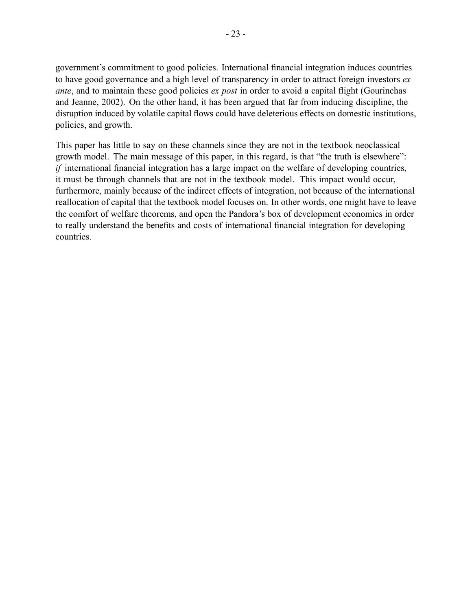government's commitment to good policies. International financial integration induces countries to have good governance and a high level of transparency in order to attract foreign investors *ex ante*, and to maintain these good policies *ex post* in order to avoid a capital flight (Gourinchas and Jeanne, 2002). On the other hand, it has been argued that far from inducing discipline, the disruption induced by volatile capital flows could have deleterious effects on domestic institutions, policies, and growth.

This paper has little to say on these channels since they are not in the textbook neoclassical growth model. The main message of this paper, in this regard, is that "the truth is elsewhere": *if* international financial integration has a large impact on the welfare of developing countries, it must be through channels that are not in the textbook model. This impact would occur, furthermore, mainly because of the indirect effects of integration, not because of the international reallocation of capital that the textbook model focuses on. In other words, one might have to leave the comfort of welfare theorems, and open the Pandora's box of development economics in order to really understand the benefits and costs of international financial integration for developing countries.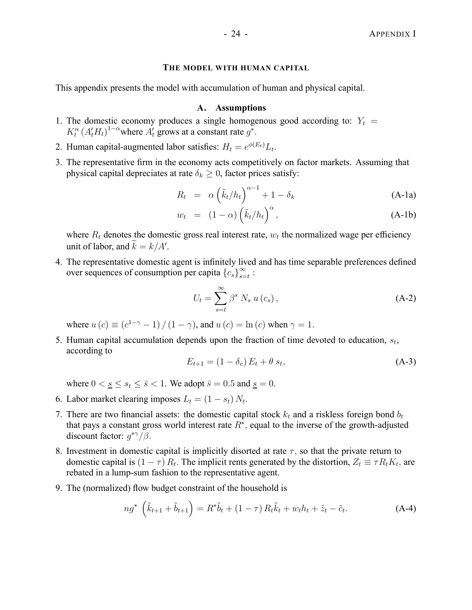## **THE MODEL WITH HUMAN CAPITAL**

This appendix presents the model with accumulation of human and physical capital.

#### **A. Assumptions**

- 1. The domestic economy produces a single homogenous good according to:  $Y_t$  =  $K_t^{\alpha}$   $(A_t^{\prime} H_t)^{1-\alpha}$  where  $A_t^{\prime}$  grows at a constant rate  $g^*$ .
- 2. Human capital-augmented labor satisfies:  $H_t = e^{\phi(E_t)} L_t$ .
- 3. The representative firm in the economy acts competitively on factor markets. Assuming that physical capital depreciates at rate  $\delta_k \geq 0$ , factor prices satisfy:

$$
R_t = \alpha \left(\tilde{k}_t/h_t\right)^{\alpha - 1} + 1 - \delta_k \tag{A-1a}
$$

$$
w_t = (1 - \alpha) \left(\tilde{k}_t / h_t\right)^{\alpha}, \tag{A-1b}
$$

where  $R_t$  denotes the domestic gross real interest rate,  $w_t$  the normalized wage per efficiency unit of labor, and  $k = k/A'$ .

4. The representative domestic agent is infinitely lived and has time separable preferences defined over sequences of consumption per capita  ${c_s}_{s=t}^{\infty}$ :

$$
U_t = \sum_{s=t}^{\infty} \beta^s N_s u(c_s), \qquad (A-2)
$$

where  $u(c) \equiv (c^{1-\gamma} - 1) / (1 - \gamma)$ , and  $u(c) = \ln(c)$  when  $\gamma = 1$ .

5. Human capital accumulation depends upon the fraction of time devoted to education,  $s_t$ , according to

$$
E_{t+1} = (1 - \delta_e) E_t + \theta s_t, \tag{A-3}
$$

where  $0 < s \leq s_t \leq \bar{s} < 1$ . We adopt  $\bar{s} = 0.5$  and  $s \leq 0$ .

- 6. Labor market clearing imposes  $L_t = (1 s_t) N_t$ .
- 7. There are two financial assets: the domestic capital stock  $k_t$  and a riskless foreign bond  $b_t$ that pays a constant gross world interest rate  $R^*$ , equal to the inverse of the growth-adjusted discount factor:  $g^*{\gamma/\beta}$ .
- 8. Investment in domestic capital is implicitly disorted at rate  $\tau$ , so that the private return to domestic capital is  $(1 - \tau) R_t$ . The implicit rents generated by the distortion,  $Z_t \equiv \tau R_t K_t$ , are rebated in a lump-sum fashion to the representative agent.
- 9. The (normalized) flow budget constraint of the household is

$$
ng^* \left(\tilde{k}_{t+1} + \tilde{b}_{t+1}\right) = R^*\tilde{b}_t + (1 - \tau) R_t \tilde{k}_t + w_t h_t + \tilde{z}_t - \tilde{c}_t.
$$
 (A-4)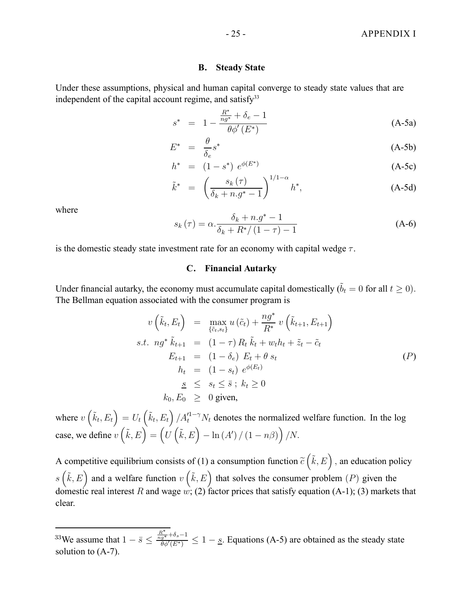#### **B. Steady State**

Under these assumptions, physical and human capital converge to steady state values that are independent of the capital account regime, and satisfy $33$ 

$$
s^* = 1 - \frac{\frac{R^*}{ng^*} + \delta_e - 1}{\theta \phi'(E^*)}
$$
 (A-5a)

$$
E^* = \frac{\theta}{\delta_e} s^* \tag{A-5b}
$$

$$
h^* = (1 - s^*) e^{\phi(E^*)}
$$
 (A-5c)

$$
\tilde{k}^* = \left(\frac{s_k(\tau)}{\delta_k + n.g^* - 1}\right)^{1/1 - \alpha} h^*,
$$
\n(A-5d)

where

$$
s_k(\tau) = \alpha \cdot \frac{\delta_k + n \cdot g^* - 1}{\delta_k + R^* / (1 - \tau) - 1}
$$
 (A-6)

is the domestic steady state investment rate for an economy with capital wedge  $\tau$ .

### **C. Financial Autarky**

Under financial autarky, the economy must accumulate capital domestically  $(\tilde{b}_t = 0$  for all  $t \ge 0)$ . The Bellman equation associated with the consumer program is

$$
v\left(\tilde{k}_t, E_t\right) = \max_{\{\tilde{c}_t, s_t\}} u\left(\tilde{c}_t\right) + \frac{n g^*}{R^*} v\left(\tilde{k}_{t+1}, E_{t+1}\right)
$$
\n
$$
s.t. \ n g^* \tilde{k}_{t+1} = (1 - \tau) R_t \tilde{k}_t + w_t h_t + \tilde{z}_t - \tilde{c}_t
$$
\n
$$
E_{t+1} = (1 - \delta_e) E_t + \theta s_t
$$
\n
$$
h_t = (1 - s_t) e^{\phi(E_t)}
$$
\n
$$
\underline{s} \leq s_t \leq \bar{s} ; k_t \geq 0
$$
\n
$$
k_0, E_0 \geq 0 \text{ given,}
$$
\n
$$
(P)
$$

where  $v\left(\tilde{k}_t, E_t\right) = U_t\left(\tilde{k}_t, E_t\right) / A_t'^{1-\gamma} N_t$  denotes the normalized welfare function. In the log case, we define  $v\left(\tilde{k}, E\right) = \left(U\left(\tilde{k}, E\right) - \ln\left(A'\right) / \left(1 - n\beta\right)\right) / N.$ 

A competitive equilibrium consists of (1) a consumption function  $\tilde{c}(\tilde{k}, E)$ , an education policy s  $(\tilde{k}, E)$  and a welfare function  $v(\tilde{k}, E)$  that solves the consumer problem (P) given the domestic real interest R and wage w; (2) factor prices that satisfy equation (A-1); (3) markets that clear.

<sup>&</sup>lt;sup>33</sup>We assume that  $1 - \bar{s} \le \frac{\frac{R^*}{ng^*} + \delta_s - 1}{\theta \phi'(E^*)}$  $\frac{g^{*+0.5-1}}{\theta \phi'(E^{*})} \leq 1 - s$ . Equations (A-5) are obtained as the steady state solution to (A-7).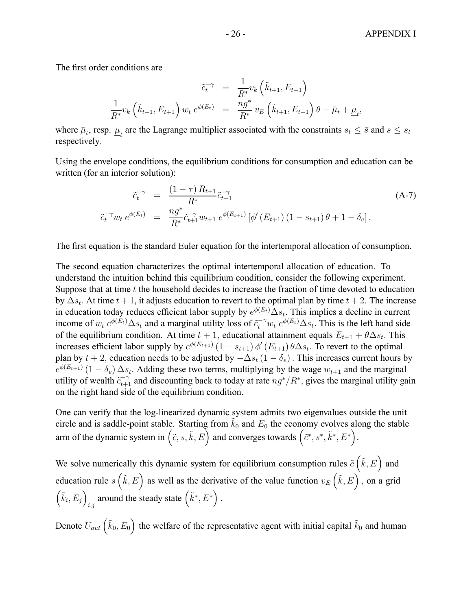The first order conditions are

$$
\tilde{c}_t^{-\gamma} = \frac{1}{R^*} v_k \left( \tilde{k}_{t+1}, E_{t+1} \right) \n\frac{1}{R^*} v_k \left( \tilde{k}_{t+1}, E_{t+1} \right) w_t e^{\phi(E_t)} = \frac{n g^*}{R^*} v_E \left( \tilde{k}_{t+1}, E_{t+1} \right) \theta - \bar{\mu}_t + \underline{\mu}_t,
$$

where  $\bar{\mu}_t$ , resp.  $\mu_t$  are the Lagrange multiplier associated with the constraints  $s_t \leq \bar{s}$  and  $s \leq s_t$ respectively.

Using the envelope conditions, the equilibrium conditions for consumption and education can be written (for an interior solution):

$$
\tilde{c}_t^{-\gamma} = \frac{(1-\tau) R_{t+1}}{R^*} \tilde{c}_{t+1}^{-\gamma}
$$
\n
$$
\tilde{c}_t^{-\gamma} w_t e^{\phi(E_t)} = \frac{n g^*}{R^*} \tilde{c}_{t+1}^{-\gamma} w_{t+1} e^{\phi(E_{t+1})} [\phi'(E_{t+1}) (1 - s_{t+1}) \theta + 1 - \delta_e].
$$
\n(A-7)

The first equation is the standard Euler equation for the intertemporal allocation of consumption.

The second equation characterizes the optimal intertemporal allocation of education. To understand the intuition behind this equilibrium condition, consider the following experiment. Suppose that at time t the household decides to increase the fraction of time devoted to education by  $\Delta s_t$ . At time  $t + 1$ , it adjusts education to revert to the optimal plan by time  $t + 2$ . The increase in education today reduces efficient labor supply by  $e^{\phi(E_t)}\Delta s_t$ . This implies a decline in current income of  $w_t e^{\phi(E_t)} \Delta s_t$  and a marginal utility loss of  $\tilde{c}_t^{-\gamma} w_t e^{\phi(E_t)} \Delta s_t$ . This is the left hand side of the equilibrium condition. At time  $t + 1$ , educational attainment equals  $E_{t+1} + \theta \Delta s_t$ . This increases efficient labor supply by  $e^{\phi(E_{t+1})}(1 - s_{t+1}) \phi'(E_{t+1}) \theta \Delta s_t$ . To revert to the optimal plan by  $t + 2$ , education needs to be adjusted by  $-\Delta s_t (1 - \delta_e)$ . This increases current hours by  $e^{\phi(E_{t+1})} (1 - \delta_e) \Delta s_t$ . Adding these two terms, multiplying by the wage  $w_{t+1}$  and the marginal utility of wealth  $\tilde{c}_{t+1}^{-\gamma}$  and discounting back to today at rate  $ng^*/R^*$ , gives the marginal utility gain on the right hand side of the equilibrium condition.

One can verify that the log-linearized dynamic system admits two eigenvalues outside the unit circle and is saddle-point stable. Starting from  $\tilde{k}_0$  and  $E_0$  the economy evolves along the stable arm of the dynamic system in  $(\tilde{c}, s, \tilde{k}, E)$  and converges towards  $(\tilde{c}^*, s^*, \tilde{k}^*, E^*)$ .

We solve numerically this dynamic system for equilibrium consumption rules  $\tilde{c}(\tilde{k},E)$  and education rule  $s(\tilde{k}, E)$  as well as the derivative of the value function  $v_E(\tilde{k}, E)$ , on a grid  $(\tilde{k}_i, E_j)$ around the steady state  $(\tilde{k}^*, E^*)$ .

Denote  $U_{aut}(\tilde{k}_0, E_0)$  the welfare of the representative agent with initial capital  $\tilde{k}_0$  and human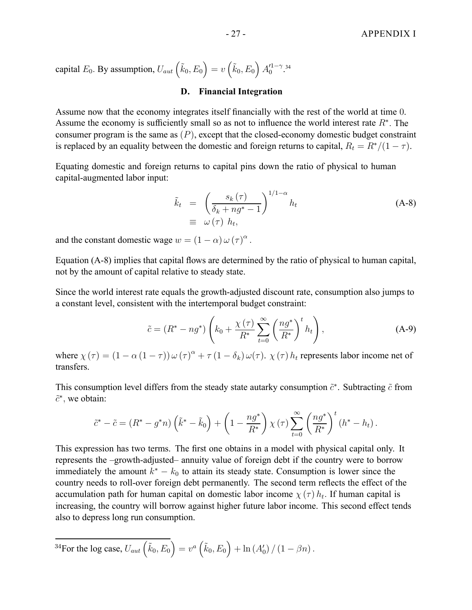capital  $E_0$ . By assumption,  $U_{aut}\left(\tilde{k}_0, E_0\right) = v\left(\tilde{k}_0, E_0\right) A_0'^{1-\gamma}$ .<sup>34</sup>

## **D. Financial Integration**

Assume now that the economy integrates itself financially with the rest of the world at time 0. Assume the economy is sufficiently small so as not to influence the world interest rate  $R^*$ . The consumer program is the same as  $(P)$ , except that the closed-economy domestic budget constraint is replaced by an equality between the domestic and foreign returns to capital,  $R_t = R^*/(1 - \tau)$ .

Equating domestic and foreign returns to capital pins down the ratio of physical to human capital-augmented labor input:

$$
\tilde{k}_t = \left(\frac{s_k(\tau)}{\delta_k + ng^* - 1}\right)^{1/1 - \alpha} h_t
$$
\n
$$
\equiv \omega(\tau) h_t,
$$
\n(A-8)

and the constant domestic wage  $w = (1 - \alpha) \omega (\tau)^{\alpha}$ .

Equation (A-8) implies that capital flows are determined by the ratio of physical to human capital, not by the amount of capital relative to steady state.

Since the world interest rate equals the growth-adjusted discount rate, consumption also jumps to a constant level, consistent with the intertemporal budget constraint:

$$
\tilde{c} = (R^* - ng^*) \left( k_0 + \frac{\chi(\tau)}{R^*} \sum_{t=0}^{\infty} \left( \frac{n g^*}{R^*} \right)^t h_t \right), \tag{A-9}
$$

where  $\chi(\tau) = (1 - \alpha (1 - \tau)) \omega(\tau)^{\alpha} + \tau (1 - \delta_k) \omega(\tau)$ .  $\chi(\tau) h_t$  represents labor income net of transfers.

This consumption level differs from the steady state autarky consumption  $\tilde{c}^*$ . Subtracting  $\tilde{c}$  from  $\tilde{c}^*$ , we obtain:

$$
\tilde{c}^* - \tilde{c} = (R^* - g^*n) \left(\tilde{k}^* - \tilde{k}_0\right) + \left(1 - \frac{ng^*}{R^*}\right) \chi(\tau) \sum_{t=0}^{\infty} \left(\frac{ng^*}{R^*}\right)^t \left(h^* - h_t\right).
$$

This expression has two terms. The first one obtains in a model with physical capital only. It represents the –growth-adjusted– annuity value of foreign debt if the country were to borrow immediately the amount  $k^* - k_0$  to attain its steady state. Consumption is lower since the country needs to roll-over foreign debt permanently. The second term reflects the effect of the accumulation path for human capital on domestic labor income  $\chi(\tau) h_t$ . If human capital is increasing, the country will borrow against higher future labor income. This second effect tends also to depress long run consumption.

$$
{}^{34}\text{For the log case, } U_{aut}\left(\tilde{k}_0, E_0\right) = v^a\left(\tilde{k}_0, E_0\right) + \ln\left(A'_0\right)/\left(1 - \beta n\right).
$$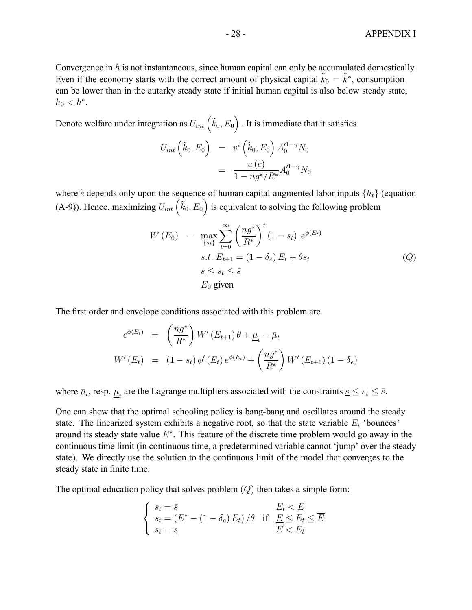Convergence in  $h$  is not instantaneous, since human capital can only be accumulated domestically. Even if the economy starts with the correct amount of physical capital  $\tilde{k}_0 = \tilde{k}^*$ , consumption can be lower than in the autarky steady state if initial human capital is also below steady state,  $h_0 < h^*$ .

Denote welfare under integration as  $U_{int}(\tilde{k}_0, E_0)$  . It is immediate that it satisfies

$$
U_{int}\left(\tilde{k}_0, E_0\right) = v^i\left(\tilde{k}_0, E_0\right) A_0^{11-\gamma} N_0
$$
  
= 
$$
\frac{u\left(\tilde{c}\right)}{1 - ng^*/R^*} A_0^{11-\gamma} N_0
$$

where  $\tilde{c}$  depends only upon the sequence of human capital-augmented labor inputs  $\{h_t\}$  (equation (A-9)). Hence, maximizing  $U_{int}(\vec{k}_0, E_0)$  is equivalent to solving the following problem

$$
W(E_0) = \max_{\{s_t\}} \sum_{t=0}^{\infty} \left(\frac{ng^*}{R^*}\right)^t (1 - s_t) e^{\phi(E_t)}
$$
  
s.t.  $E_{t+1} = (1 - \delta_e) E_t + \theta s_t$   
 $\underline{s} \le s_t \le \overline{s}$   
 $E_0$  given

The first order and envelope conditions associated with this problem are

$$
e^{\phi(E_t)} = \left(\frac{ng^*}{R^*}\right) W'(E_{t+1}) \theta + \underline{\mu}_t - \bar{\mu}_t
$$
  

$$
W'(E_t) = (1 - s_t) \phi'(E_t) e^{\phi(E_t)} + \left(\frac{ng^*}{R^*}\right) W'(E_{t+1}) (1 - \delta_e)
$$

where  $\bar{\mu}_t$ , resp.  $\mu_t$  are the Lagrange multipliers associated with the constraints  $s \leq s_t \leq \bar{s}$ .

One can show that the optimal schooling policy is bang-bang and oscillates around the steady state. The linearized system exhibits a negative root, so that the state variable  $E_t$  'bounces' around its steady state value  $E^*$ . This feature of the discrete time problem would go away in the continuous time limit (in continuous time, a predetermined variable cannot 'jump' over the steady state). We directly use the solution to the continuous limit of the model that converges to the steady state in finite time.

The optimal education policy that solves problem  $(Q)$  then takes a simple form:

$$
\begin{cases}\ns_t = \bar{s} \\
s_t = (E^* - (1 - \delta_e) E_t) / \theta & \text{if } \underline{E} \le E_t \le \overline{E} \\
s_t = \underline{s}\n\end{cases}
$$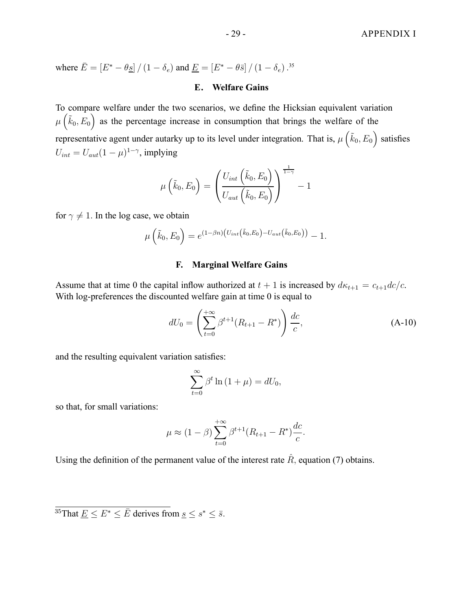where  $\bar{E} = [E^* - \theta_{\bar{S}}] / (1 - \delta_e)$  and  $\underline{E} = [E^* - \theta \bar{s}] / (1 - \delta_e)$ .<sup>35</sup>

#### **E. Welfare Gains**

To compare welfare under the two scenarios, we define the Hicksian equivalent variation  $\mu\left(\tilde{k}_0, E_0\right)$  as the percentage increase in consumption that brings the welfare of the representative agent under autarky up to its level under integration. That is,  $\mu\left(\tilde{k}_0, E_0\right)$  satisfies  $U_{int} = U_{aut} (1 - \mu)^{1 - \gamma}$ , implying

$$
\mu\left(\tilde{k}_0, E_0\right) = \left(\frac{U_{int}\left(\tilde{k}_0, E_0\right)}{U_{aut}\left(\tilde{k}_0, E_0\right)}\right)^{\frac{1}{1-\gamma}} - 1
$$

for  $\gamma \neq 1$ . In the log case, we obtain

$$
\mu\left(\tilde{k}_0, E_0\right) = e^{(1-\beta n)\left(U_{int}\left(\tilde{k}_0, E_0\right) - U_{aut}\left(\tilde{k}_0, E_0\right)\right)} - 1.
$$

## **F. Marginal Welfare Gains**

Assume that at time 0 the capital inflow authorized at  $t + 1$  is increased by  $d\kappa_{t+1} = c_{t+1}dc/c$ . With log-preferences the discounted welfare gain at time 0 is equal to

$$
dU_0 = \left(\sum_{t=0}^{+\infty} \beta^{t+1} (R_{t+1} - R^*)\right) \frac{dc}{c},\tag{A-10}
$$

and the resulting equivalent variation satisfies:

$$
\sum_{t=0}^{\infty} \beta^t \ln(1+\mu) = dU_0,
$$

so that, for small variations:

$$
\mu \approx (1 - \beta) \sum_{t=0}^{+\infty} \beta^{t+1} (R_{t+1} - R^*) \frac{dc}{c}.
$$

Using the definition of the permanent value of the interest rate  $\hat{R}$ , equation (7) obtains.

 $\frac{35}{35}$ That  $E \le E^* \le \overline{E}$  derives from  $s \le s^* \le \overline{s}$ .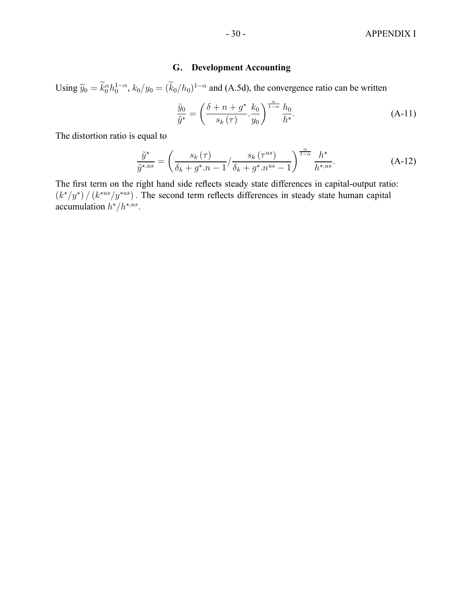## **G. Development Accounting**

Using  $\tilde{y}_0 = \tilde{k}_0^{\alpha} h_0^{1-\alpha}$ ,  $k_0/y_0 = (\tilde{k}_0/h_0)^{1-\alpha}$  and (A.5d), the convergence ratio can be written

$$
\frac{\tilde{y}_0}{\tilde{y}^*} = \left(\frac{\delta + n + g^*}{s_k(\tau)} \cdot \frac{k_0}{y_0}\right)^{\frac{\alpha}{1-\alpha}} \frac{h_0}{h^*}.
$$
\n(A-11)

The distortion ratio is equal to

$$
\frac{\tilde{y}^*}{\tilde{y}^{*,us}} = \left(\frac{s_k(\tau)}{\delta_k + g^* . n - 1} / \frac{s_k(\tau^{us})}{\delta_k + g^* . n^{us} - 1}\right)^{\frac{\alpha}{1 - \alpha}} \frac{h^*}{h^{*,us}}.
$$
\n(A-12)

The first term on the right hand side reflects steady state differences in capital-output ratio:  $(k<sup>*</sup>/y<sup>*</sup>) / (k<sup>∗us</sup>/y<sup>∗us</sup>)$ . The second term reflects differences in steady state human capital accumulation  $h^*/h^{*,us}$ .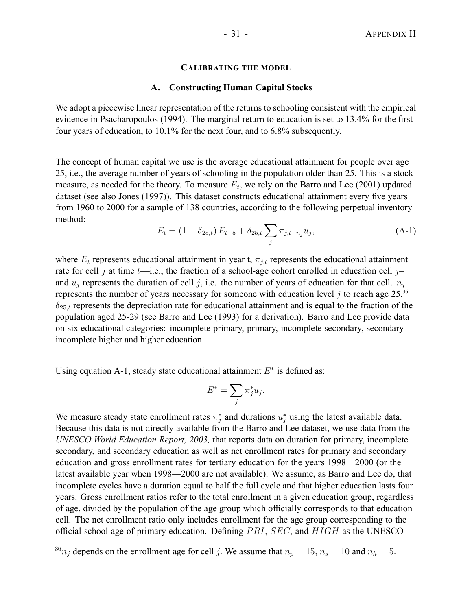#### **CALIBRATING THE MODEL**

#### **A. Constructing Human Capital Stocks**

We adopt a piecewise linear representation of the returns to schooling consistent with the empirical evidence in Psacharopoulos (1994). The marginal return to education is set to 13.4% for the first four years of education, to 10.1% for the next four, and to 6.8% subsequently.

The concept of human capital we use is the average educational attainment for people over age 25, i.e., the average number of years of schooling in the population older than 25. This is a stock measure, as needed for the theory. To measure  $E_t$ , we rely on the Barro and Lee (2001) updated dataset (see also Jones (1997)). This dataset constructs educational attainment every five years from 1960 to 2000 for a sample of 138 countries, according to the following perpetual inventory method:

$$
E_t = (1 - \delta_{25,t}) E_{t-5} + \delta_{25,t} \sum_j \pi_{j,t-n_j} u_j,
$$
 (A-1)

where  $E_t$  represents educational attainment in year t,  $\pi_{j,t}$  represents the educational attainment rate for cell j at time  $t$ —i.e., the fraction of a school-age cohort enrolled in education cell j– and  $u_i$  represents the duration of cell j, i.e. the number of years of education for that cell.  $n_i$ represents the number of years necessary for someone with education level j to reach age  $25.^{36}$  $\delta_{25,t}$  represents the depreciation rate for educational attainment and is equal to the fraction of the population aged 25-29 (see Barro and Lee (1993) for a derivation). Barro and Lee provide data on six educational categories: incomplete primary, primary, incomplete secondary, secondary incomplete higher and higher education.

Using equation A-1, steady state educational attainment  $E^*$  is defined as:

$$
E^* = \sum_j \pi_j^* u_j.
$$

We measure steady state enrollment rates  $\pi_j^*$  and durations  $u_j^*$  using the latest available data. Because this data is not directly available from the Barro and Lee dataset, we use data from the *UNESCO World Education Report, 2003,* that reports data on duration for primary, incomplete secondary, and secondary education as well as net enrollment rates for primary and secondary education and gross enrollment rates for tertiary education for the years 1998—2000 (or the latest available year when 1998—2000 are not available). We assume, as Barro and Lee do, that incomplete cycles have a duration equal to half the full cycle and that higher education lasts four years. Gross enrollment ratios refer to the total enrollment in a given education group, regardless of age, divided by the population of the age group which officially corresponds to that education cell. The net enrollment ratio only includes enrollment for the age group corresponding to the official school age of primary education. Defining  $PRI$ ,  $SEC$ , and  $HIGH$  as the UNESCO

 $\frac{36}{36}n_j$  depends on the enrollment age for cell j. We assume that  $n_p = 15$ ,  $n_s = 10$  and  $n_h = 5$ .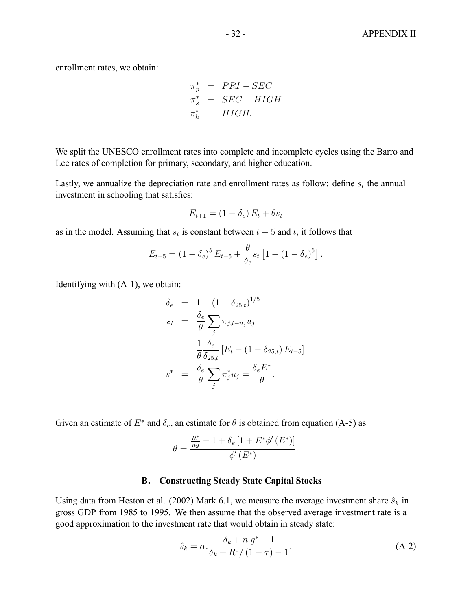enrollment rates, we obtain:

$$
\begin{aligned}\n\pi_p^* &= PRI - SEC \\
\pi_s^* &= SEC - HIGH \\
\pi_h^* &= HIGH.\n\end{aligned}
$$

We split the UNESCO enrollment rates into complete and incomplete cycles using the Barro and Lee rates of completion for primary, secondary, and higher education.

Lastly, we annualize the depreciation rate and enrollment rates as follow: define  $s_t$  the annual investment in schooling that satisfies:

$$
E_{t+1} = (1 - \delta_e) E_t + \theta s_t
$$

as in the model. Assuming that  $s_t$  is constant between  $t - 5$  and  $t$ , it follows that

$$
E_{t+5} = (1 - \delta_e)^5 E_{t-5} + \frac{\theta}{\delta_e} s_t [1 - (1 - \delta_e)^5].
$$

Identifying with (A-1), we obtain:

$$
\delta_e = 1 - (1 - \delta_{25,t})^{1/5}
$$
\n
$$
s_t = \frac{\delta_e}{\theta} \sum_j \pi_{j,t-n_j} u_j
$$
\n
$$
= \frac{1}{\theta} \frac{\delta_e}{\delta_{25,t}} [E_t - (1 - \delta_{25,t}) E_{t-5}]
$$
\n
$$
s^* = \frac{\delta_e}{\theta} \sum_j \pi_j^* u_j = \frac{\delta_e E^*}{\theta}.
$$

Given an estimate of  $E^*$  and  $\delta_e$ , an estimate for  $\theta$  is obtained from equation (A-5) as

$$
\theta = \frac{\frac{R^*}{ng} - 1 + \delta_e [1 + E^* \phi'(E^*)]}{\phi'(E^*)}.
$$

## **B. Constructing Steady State Capital Stocks**

Using data from Heston et al. (2002) Mark 6.1, we measure the average investment share  $\hat{s}_k$  in gross GDP from 1985 to 1995. We then assume that the observed average investment rate is a good approximation to the investment rate that would obtain in steady state:

$$
\hat{s}_k = \alpha \cdot \frac{\delta_k + n \cdot g^* - 1}{\delta_k + R^* / (1 - \tau) - 1}.
$$
\n(A-2)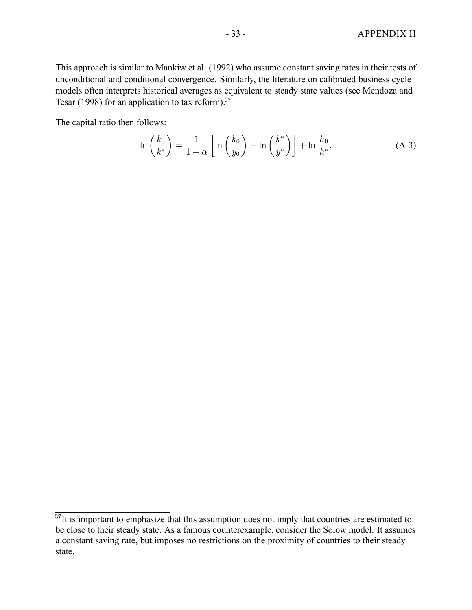This approach is similar to Mankiw et al. (1992) who assume constant saving rates in their tests of unconditional and conditional convergence. Similarly, the literature on calibrated business cycle models often interprets historical averages as equivalent to steady state values (see Mendoza and Tesar (1998) for an application to tax reform).<sup>37</sup>

The capital ratio then follows:

$$
\ln\left(\frac{k_0}{k^*}\right) = \frac{1}{1-\alpha} \left[ \ln\left(\frac{k_0}{y_0}\right) - \ln\left(\frac{k^*}{y^*}\right) \right] + \ln\frac{h_0}{h^*}.\tag{A-3}
$$

 $37$ It is important to emphasize that this assumption does not imply that countries are estimated to be close to their steady state. As a famous counterexample, consider the Solow model. It assumes a constant saving rate, but imposes no restrictions on the proximity of countries to their steady state.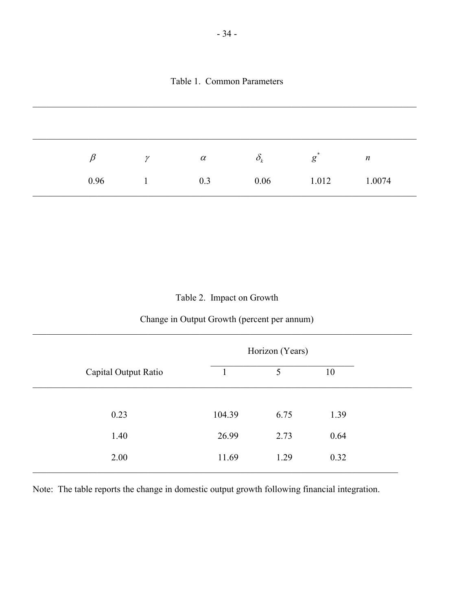| ß    | $\gamma$ | $\alpha$ | $\delta_{\scriptscriptstyle{k}}$ | $\ast$<br>g | $\boldsymbol{n}$ |
|------|----------|----------|----------------------------------|-------------|------------------|
| 0.96 |          | 0.3      | 0.06                             | 1.012       | 1.0074           |

# Table 2. Impact on Growth

# Change in Output Growth (percent per annum)  $\mathcal{L}_\mathcal{L} = \mathcal{L}_\mathcal{L} = \mathcal{L}_\mathcal{L} = \mathcal{L}_\mathcal{L} = \mathcal{L}_\mathcal{L} = \mathcal{L}_\mathcal{L} = \mathcal{L}_\mathcal{L} = \mathcal{L}_\mathcal{L} = \mathcal{L}_\mathcal{L} = \mathcal{L}_\mathcal{L} = \mathcal{L}_\mathcal{L} = \mathcal{L}_\mathcal{L} = \mathcal{L}_\mathcal{L} = \mathcal{L}_\mathcal{L} = \mathcal{L}_\mathcal{L} = \mathcal{L}_\mathcal{L} = \mathcal{L}_\mathcal{L}$

|                      | Horizon (Years) |      |      |  |
|----------------------|-----------------|------|------|--|
| Capital Output Ratio |                 | 5    | 10   |  |
|                      |                 |      |      |  |
| 0.23                 | 104.39          | 6.75 | 1.39 |  |
| 1.40                 | 26.99           | 2.73 | 0.64 |  |
| 2.00                 | 11.69           | 1.29 | 0.32 |  |
|                      |                 |      |      |  |

Note: The table reports the change in domestic output growth following financial integration.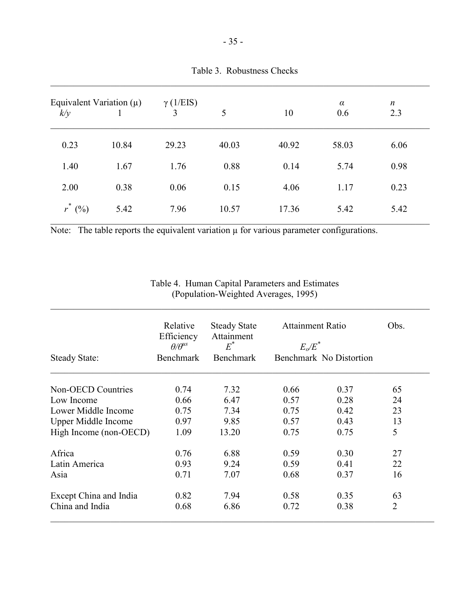| Equivalent Variation $(\mu)$<br>k/y |       | $\gamma$ (1/EIS)<br>3 | 5     | 10    | $\alpha$<br>0.6 | $\boldsymbol{n}$<br>2.3 |
|-------------------------------------|-------|-----------------------|-------|-------|-----------------|-------------------------|
| 0.23                                | 10.84 | 29.23                 | 40.03 | 40.92 | 58.03           | 6.06                    |
| 1.40                                | 1.67  | 1.76                  | 0.88  | 0.14  | 5.74            | 0.98                    |
| 2.00                                | 0.38  | 0.06                  | 0.15  | 4.06  | 1.17            | 0.23                    |
| $\ast$<br>$r^*(\%)$                 | 5.42  | 7.96                  | 10.57 | 17.36 | 5.42            | 5.42                    |

Note: The table reports the equivalent variation  $\mu$  for various parameter configurations.

| Table 4. Human Capital Parameters and Estimates |  |
|-------------------------------------------------|--|
| (Population-Weighted Averages, 1995)            |  |

 $\_$  , and the contribution of the contribution of the contribution of the contribution of  $\mathcal{L}_\mathcal{A}$ 

|                            | Relative<br>Efficiency<br>$\theta/\theta^{us}$ | <b>Steady State</b><br>Attainment<br>$E^*$ | <b>Attainment Ratio</b><br>$E_o/E^*$ | Obs.                    |                |
|----------------------------|------------------------------------------------|--------------------------------------------|--------------------------------------|-------------------------|----------------|
| <b>Steady State:</b>       | <b>Benchmark</b>                               | <b>Benchmark</b>                           |                                      | Benchmark No Distortion |                |
| Non-OECD Countries         | 0.74                                           | 7.32                                       | 0.66                                 | 0.37                    | 65             |
| Low Income                 | 0.66                                           | 6.47                                       | 0.57                                 | 0.28                    | 24             |
| Lower Middle Income        | 0.75                                           | 7.34                                       | 0.75                                 | 0.42                    | 23             |
| <b>Upper Middle Income</b> | 0.97                                           | 9.85                                       | 0.57                                 | 0.43                    | 13             |
| High Income (non-OECD)     | 1.09                                           | 13.20                                      | 0.75                                 | 0.75                    | 5              |
| Africa                     | 0.76                                           | 6.88                                       | 0.59                                 | 0.30                    | 27             |
| Latin America              | 0.93                                           | 9.24                                       | 0.59                                 | 0.41                    | 22             |
| Asia                       | 0.71                                           | 7.07                                       | 0.68                                 | 0.37                    | 16             |
| Except China and India     | 0.82                                           | 7.94                                       | 0.58                                 | 0.35                    | 63             |
| China and India            | 0.68                                           | 6.86                                       | 0.72                                 | 0.38                    | $\overline{2}$ |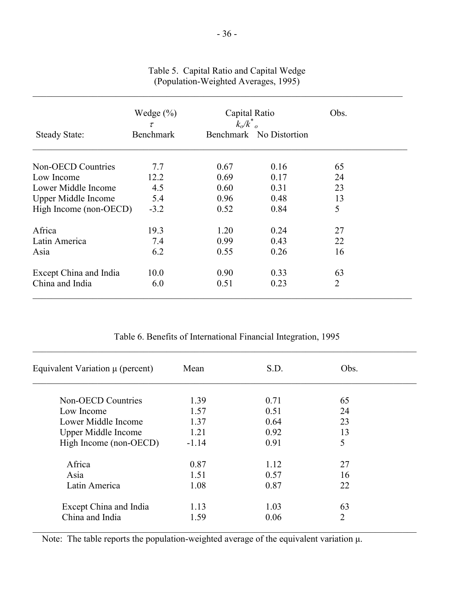|                            | Wedge $(\% )$<br>$\tau$ | Capital Ratio<br>$k_o/k^{\dagger}$ |                         | Obs.           |  |
|----------------------------|-------------------------|------------------------------------|-------------------------|----------------|--|
| <b>Steady State:</b>       | <b>Benchmark</b>        |                                    | Benchmark No Distortion |                |  |
| <b>Non-OECD Countries</b>  | 7.7                     | 0.67                               | 0.16                    | 65             |  |
| Low Income                 | 12.2                    | 0.69                               | 0.17                    | 24             |  |
| Lower Middle Income        | 4.5                     | 0.60                               | 0.31                    | 23             |  |
| <b>Upper Middle Income</b> | 5.4                     | 0.96                               | 0.48                    | 13             |  |
| High Income (non-OECD)     | $-3.2$                  | 0.52                               | 0.84                    | 5              |  |
| Africa                     | 19.3                    | 1.20                               | 0.24                    | 27             |  |
| Latin America              | 7.4                     | 0.99                               | 0.43                    | 22             |  |
| Asia                       | 6.2                     | 0.55                               | 0.26                    | 16             |  |
| Except China and India     | 10.0                    | 0.90                               | 0.33                    | 63             |  |
| China and India            | 6.0                     | 0.51                               | 0.23                    | $\overline{2}$ |  |

## Table 5. Capital Ratio and Capital Wedge (Population-Weighted Averages, 1995)

 $\mathcal{L}_\mathcal{L} = \mathcal{L}_\mathcal{L} = \mathcal{L}_\mathcal{L} = \mathcal{L}_\mathcal{L} = \mathcal{L}_\mathcal{L} = \mathcal{L}_\mathcal{L} = \mathcal{L}_\mathcal{L} = \mathcal{L}_\mathcal{L} = \mathcal{L}_\mathcal{L} = \mathcal{L}_\mathcal{L} = \mathcal{L}_\mathcal{L} = \mathcal{L}_\mathcal{L} = \mathcal{L}_\mathcal{L} = \mathcal{L}_\mathcal{L} = \mathcal{L}_\mathcal{L} = \mathcal{L}_\mathcal{L} = \mathcal{L}_\mathcal{L}$ 

|  |  |  |  |  | Table 6. Benefits of International Financial Integration, 1995 |  |
|--|--|--|--|--|----------------------------------------------------------------|--|
|--|--|--|--|--|----------------------------------------------------------------|--|

| Equivalent Variation $\mu$ (percent) | Mean    | S.D. | Obs. |  |
|--------------------------------------|---------|------|------|--|
| <b>Non-OECD Countries</b>            | 1.39    | 0.71 | 65   |  |
| Low Income                           | 1.57    | 0.51 | 24   |  |
| Lower Middle Income                  | 1.37    | 0.64 | 23   |  |
| <b>Upper Middle Income</b>           | 1.21    | 0.92 | 13   |  |
| High Income (non-OECD)               | $-1.14$ | 0.91 | 5    |  |
| Africa                               | 0.87    | 1.12 | 27   |  |
| Asia                                 | 1.51    | 0.57 | 16   |  |
| Latin America                        | 1.08    | 0.87 | 22   |  |
| Except China and India               | 1.13    | 1.03 | 63   |  |
| China and India                      | 1.59    | 0.06 | 2    |  |

Note: The table reports the population-weighted average of the equivalent variation  $\mu$ .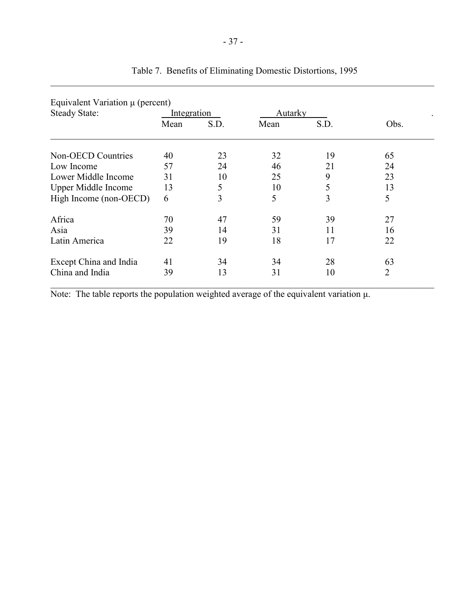| Equivalent Variation $\mu$ (percent) |             |      |         |      |      |
|--------------------------------------|-------------|------|---------|------|------|
| <b>Steady State:</b>                 | Integration |      | Autarky |      |      |
|                                      | Mean        | S.D. | Mean    | S.D. | Obs. |
| <b>Non-OECD Countries</b>            | 40          | 23   | 32      | 19   | 65   |
| Low Income                           | 57          | 24   | 46      | 21   | 24   |
| Lower Middle Income                  | 31          | 10   | 25      | 9    | 23   |
| <b>Upper Middle Income</b>           | 13          | 5    | 10      | 5    | 13   |
| High Income (non-OECD)               | 6           | 3    | 5       | 3    | 5    |
| Africa                               | 70          | 47   | 59      | 39   | 27   |
| Asia                                 | 39          | 14   | 31      | 11   | 16   |
| Latin America                        | 22          | 19   | 18      | 17   | 22   |
| Except China and India               | 41          | 34   | 34      | 28   | 63   |
| China and India                      | 39          | 13   | 31      | 10   | 2    |

# Table 7. Benefits of Eliminating Domestic Distortions, 1995  $\_$  , and the contribution of the contribution of the contribution of the contribution of  $\mathcal{L}_\text{max}$

Note: The table reports the population weighted average of the equivalent variation µ.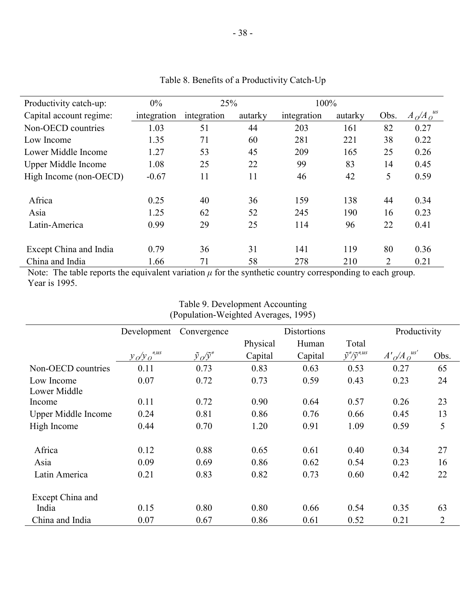| Productivity catch-up:     | $0\%$       | 25%         |         | 100%        |         |      |                |
|----------------------------|-------------|-------------|---------|-------------|---------|------|----------------|
| Capital account regime:    | integration | integration | autarky | integration | autarky | Obs. | $A_0/A_0^{us}$ |
| Non-OECD countries         | 1.03        | 51          | 44      | 203         | 161     | 82   | 0.27           |
| Low Income                 | 1.35        | 71          | 60      | 281         | 221     | 38   | 0.22           |
| Lower Middle Income        | 1.27        | 53          | 45      | 209         | 165     | 25   | 0.26           |
| <b>Upper Middle Income</b> | 1.08        | 25          | 22      | 99          | 83      | 14   | 0.45           |
| High Income (non-OECD)     | $-0.67$     | 11          | 11      | 46          | 42      | 5    | 0.59           |
| Africa                     | 0.25        | 40          | 36      | 159         | 138     | 44   | 0.34           |
| Asia                       | 1.25        | 62          | 52      | 245         | 190     | 16   | 0.23           |
| Latin-America              | 0.99        | 29          | 25      | 114         | 96      | 22   | 0.41           |
| Except China and India     | 0.79        | 36          | 31      | 141         | 119     | 80   | 0.36           |
| China and India            | 1.66        | 71          | 58      | 278         | 210     | 2    | 0.21           |

Table 8. Benefits of a Productivity Catch-Up

-38 -

Note: The table reports the equivalent variation  $\mu$  for the synthetic country corresponding to each group. Year is 1995.

| Table 9. Development Accounting      |  |
|--------------------------------------|--|
| (Population-Weighted Averages, 1995) |  |

|                            | Development              | Convergence               | <b>Distortions</b> |         |                                | Productivity         |                |
|----------------------------|--------------------------|---------------------------|--------------------|---------|--------------------------------|----------------------|----------------|
|                            |                          |                           | Physical           | Human   | Total                          |                      |                |
|                            | $y_o/y_o$ <sup>*us</sup> | $\tilde{y}_o/\tilde{y}^*$ | Capital            | Capital | $\tilde{y}^*/\tilde{y}^{*}$ us | $A'_{O}/A_{O}^{us'}$ | Obs.           |
| Non-OECD countries         | 0.11                     | 0.73                      | 0.83               | 0.63    | 0.53                           | 0.27                 | 65             |
| Low Income                 | 0.07                     | 0.72                      | 0.73               | 0.59    | 0.43                           | 0.23                 | 24             |
| Lower Middle               |                          |                           |                    |         |                                |                      |                |
| Income                     | 0.11                     | 0.72                      | 0.90               | 0.64    | 0.57                           | 0.26                 | 23             |
| <b>Upper Middle Income</b> | 0.24                     | 0.81                      | 0.86               | 0.76    | 0.66                           | 0.45                 | 13             |
| High Income                | 0.44                     | 0.70                      | 1.20               | 0.91    | 1.09                           | 0.59                 | 5              |
| Africa                     | 0.12                     | 0.88                      | 0.65               | 0.61    | 0.40                           | 0.34                 | 27             |
| Asia                       | 0.09                     | 0.69                      | 0.86               | 0.62    | 0.54                           | 0.23                 | 16             |
| Latin America              | 0.21                     | 0.83                      | 0.82               | 0.73    | 0.60                           | 0.42                 | 22             |
| Except China and           |                          |                           |                    |         |                                |                      |                |
| India                      | 0.15                     | 0.80                      | 0.80               | 0.66    | 0.54                           | 0.35                 | 63             |
| China and India            | 0.07                     | 0.67                      | 0.86               | 0.61    | 0.52                           | 0.21                 | $\overline{2}$ |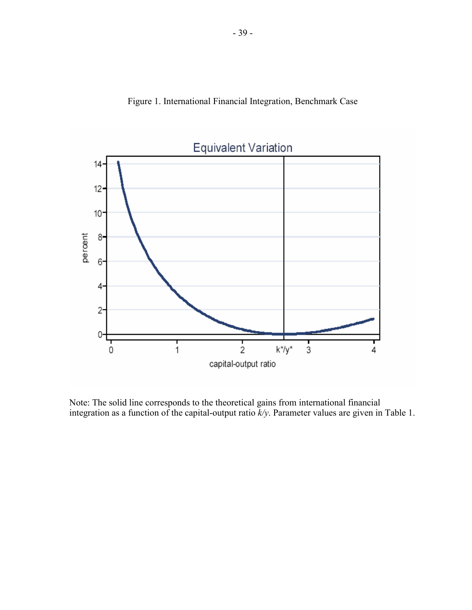



Note: The solid line corresponds to the theoretical gains from international financial integration as a function of the capital-output ratio *k/y*. Parameter values are given in Table 1.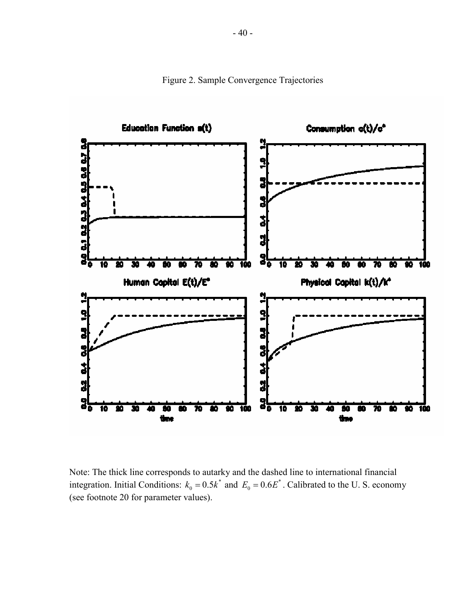

Figure 2. Sample Convergence Trajectories

Note: The thick line corresponds to autarky and the dashed line to international financial integration. Initial Conditions:  $k_0 = 0.5k^*$  and  $E_0 = 0.6E^*$ . Calibrated to the U. S. economy (see footnote 20 for parameter values).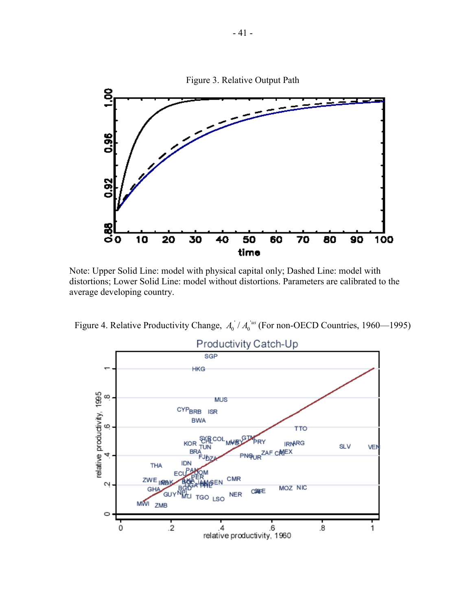

Note: Upper Solid Line: model with physical capital only; Dashed Line: model with distortions; Lower Solid Line: model without distortions. Parameters are calibrated to the average developing country.

Figure 4. Relative Productivity Change,  $A_0 / A_0$ <sup>*'us*</sup> (For non-OECD Countries, 1960—1995)

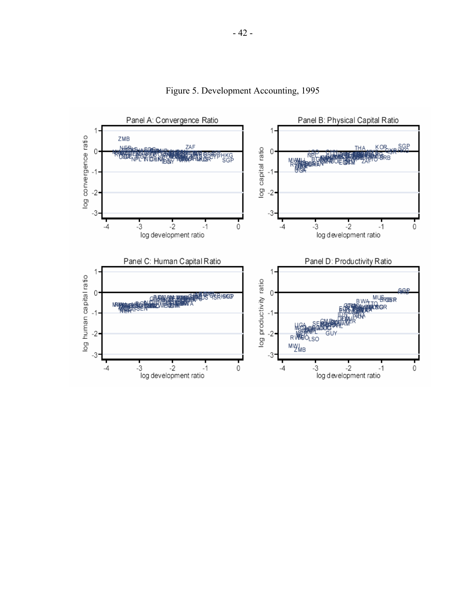

Figure 5. Development Accounting, 1995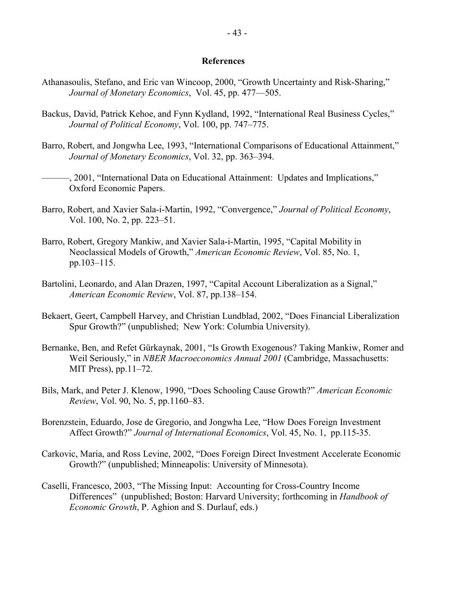#### **References**

- Athanasoulis, Stefano, and Eric van Wincoop, 2000, "Growth Uncertainty and Risk-Sharing," *Journal of Monetary Economics*, Vol. 45, pp. 477—505.
- Backus, David, Patrick Kehoe, and Fynn Kydland, 1992, "International Real Business Cycles," *Journal of Political Economy*, Vol. 100, pp. 747–775.
- Barro, Robert, and Jongwha Lee, 1993, "International Comparisons of Educational Attainment," *Journal of Monetary Economics*, Vol. 32, pp. 363–394.
- ———, 2001, "International Data on Educational Attainment: Updates and Implications," Oxford Economic Papers.
- Barro, Robert, and Xavier Sala-i-Martin, 1992, "Convergence," *Journal of Political Economy*, Vol. 100, No. 2, pp. 223–51.
- Barro, Robert, Gregory Mankiw, and Xavier Sala-i-Martin, 1995, "Capital Mobility in Neoclassical Models of Growth," *American Economic Review*, Vol. 85, No. 1, pp.103–115.
- Bartolini, Leonardo, and Alan Drazen, 1997, "Capital Account Liberalization as a Signal," *American Economic Review*, Vol. 87, pp.138–154.
- Bekaert, Geert, Campbell Harvey, and Christian Lundblad, 2002, "Does Financial Liberalization Spur Growth?" (unpublished; New York: Columbia University).
- Bernanke, Ben, and Refet Gürkaynak, 2001, "Is Growth Exogenous? Taking Mankiw, Romer and Weil Seriously," in *NBER Macroeconomics Annual 2001* (Cambridge, Massachusetts: MIT Press), pp.11–72.
- Bils, Mark, and Peter J. Klenow, 1990, "Does Schooling Cause Growth?" *American Economic Review*, Vol. 90, No. 5, pp.1160–83.
- Borenzstein, Eduardo, Jose de Gregorio, and Jongwha Lee, "How Does Foreign Investment Affect Growth?" *Journal of International Economics*, Vol. 45, No. 1, pp.115-35.
- Carkovic, Maria, and Ross Levine, 2002, "Does Foreign Direct Investment Accelerate Economic Growth?" (unpublished; Minneapolis: University of Minnesota).
- Caselli, Francesco, 2003, "The Missing Input: Accounting for Cross-Country Income Differences" (unpublished; Boston: Harvard University; forthcoming in *Handbook of Economic Growth*, P. Aghion and S. Durlauf, eds.)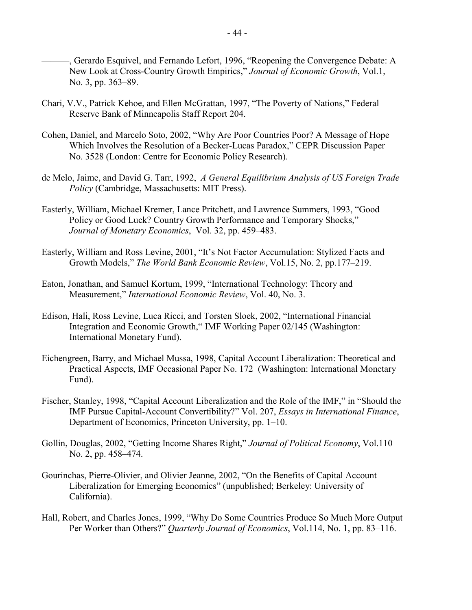———, Gerardo Esquivel, and Fernando Lefort, 1996, "Reopening the Convergence Debate: A New Look at Cross-Country Growth Empirics," *Journal of Economic Growth*, Vol.1, No. 3, pp. 363–89.

- Chari, V.V., Patrick Kehoe, and Ellen McGrattan, 1997, "The Poverty of Nations," Federal Reserve Bank of Minneapolis Staff Report 204.
- Cohen, Daniel, and Marcelo Soto, 2002, "Why Are Poor Countries Poor? A Message of Hope Which Involves the Resolution of a Becker-Lucas Paradox," CEPR Discussion Paper No. 3528 (London: Centre for Economic Policy Research).
- de Melo, Jaime, and David G. Tarr, 1992, *A General Equilibrium Analysis of US Foreign Trade Policy* (Cambridge, Massachusetts: MIT Press).
- Easterly, William, Michael Kremer, Lance Pritchett, and Lawrence Summers, 1993, "Good Policy or Good Luck? Country Growth Performance and Temporary Shocks," *Journal of Monetary Economics*, Vol. 32, pp. 459–483.
- Easterly, William and Ross Levine, 2001, "It's Not Factor Accumulation: Stylized Facts and Growth Models," *The World Bank Economic Review*, Vol.15, No. 2, pp.177–219.
- Eaton, Jonathan, and Samuel Kortum, 1999, "International Technology: Theory and Measurement," *International Economic Review*, Vol. 40, No. 3.
- Edison, Hali, Ross Levine, Luca Ricci, and Torsten Sloek, 2002, "International Financial Integration and Economic Growth," IMF Working Paper 02/145 (Washington: International Monetary Fund).
- Eichengreen, Barry, and Michael Mussa, 1998, Capital Account Liberalization: Theoretical and Practical Aspects, IMF Occasional Paper No. 172 (Washington: International Monetary Fund).
- Fischer, Stanley, 1998, "Capital Account Liberalization and the Role of the IMF," in "Should the IMF Pursue Capital-Account Convertibility?" Vol. 207, *Essays in International Finance*, Department of Economics, Princeton University, pp. 1–10.
- Gollin, Douglas, 2002, "Getting Income Shares Right," *Journal of Political Economy*, Vol.110 No. 2, pp. 458–474.
- Gourinchas, Pierre-Olivier, and Olivier Jeanne, 2002, "On the Benefits of Capital Account Liberalization for Emerging Economics" (unpublished; Berkeley: University of California).
- Hall, Robert, and Charles Jones, 1999, "Why Do Some Countries Produce So Much More Output Per Worker than Others?" *Quarterly Journal of Economics*, Vol.114, No. 1, pp. 83–116.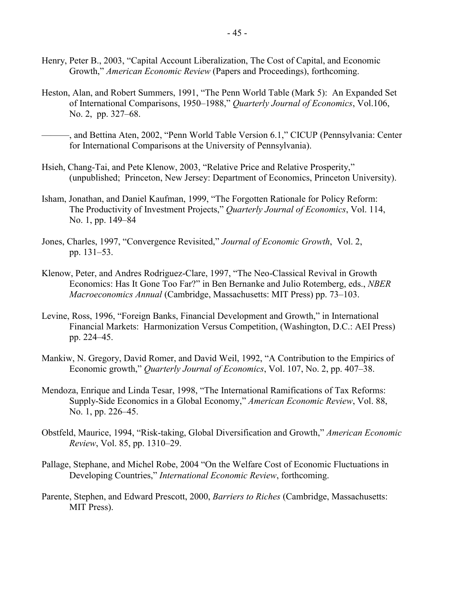- Henry, Peter B., 2003, "Capital Account Liberalization, The Cost of Capital, and Economic Growth," *American Economic Review* (Papers and Proceedings), forthcoming.
- Heston, Alan, and Robert Summers, 1991, "The Penn World Table (Mark 5): An Expanded Set of International Comparisons, 1950–1988," *Quarterly Journal of Economics*, Vol.106, No. 2, pp. 327–68.
- ———, and Bettina Aten, 2002, "Penn World Table Version 6.1," CICUP (Pennsylvania: Center for International Comparisons at the University of Pennsylvania).
- Hsieh, Chang-Tai, and Pete Klenow, 2003, "Relative Price and Relative Prosperity," (unpublished; Princeton, New Jersey: Department of Economics, Princeton University).
- Isham, Jonathan, and Daniel Kaufman, 1999, "The Forgotten Rationale for Policy Reform: The Productivity of Investment Projects," *Quarterly Journal of Economics*, Vol. 114, No. 1, pp. 149–84
- Jones, Charles, 1997, "Convergence Revisited," *Journal of Economic Growth*, Vol. 2, pp. 131–53.
- Klenow, Peter, and Andres Rodriguez-Clare, 1997, "The Neo-Classical Revival in Growth Economics: Has It Gone Too Far?" in Ben Bernanke and Julio Rotemberg, eds., *NBER Macroeconomics Annual* (Cambridge, Massachusetts: MIT Press) pp. 73–103.
- Levine, Ross, 1996, "Foreign Banks, Financial Development and Growth," in International Financial Markets: Harmonization Versus Competition, (Washington, D.C.: AEI Press) pp. 224–45.
- Mankiw, N. Gregory, David Romer, and David Weil, 1992, "A Contribution to the Empirics of Economic growth," *Quarterly Journal of Economics*, Vol. 107, No. 2, pp. 407–38.
- Mendoza, Enrique and Linda Tesar, 1998, "The International Ramifications of Tax Reforms: Supply-Side Economics in a Global Economy," *American Economic Review*, Vol. 88, No. 1, pp. 226–45.
- Obstfeld, Maurice, 1994, "Risk-taking, Global Diversification and Growth," *American Economic Review*, Vol. 85, pp. 1310–29.
- Pallage, Stephane, and Michel Robe, 2004 "On the Welfare Cost of Economic Fluctuations in Developing Countries," *International Economic Review*, forthcoming.
- Parente, Stephen, and Edward Prescott, 2000, *Barriers to Riches* (Cambridge, Massachusetts: MIT Press).